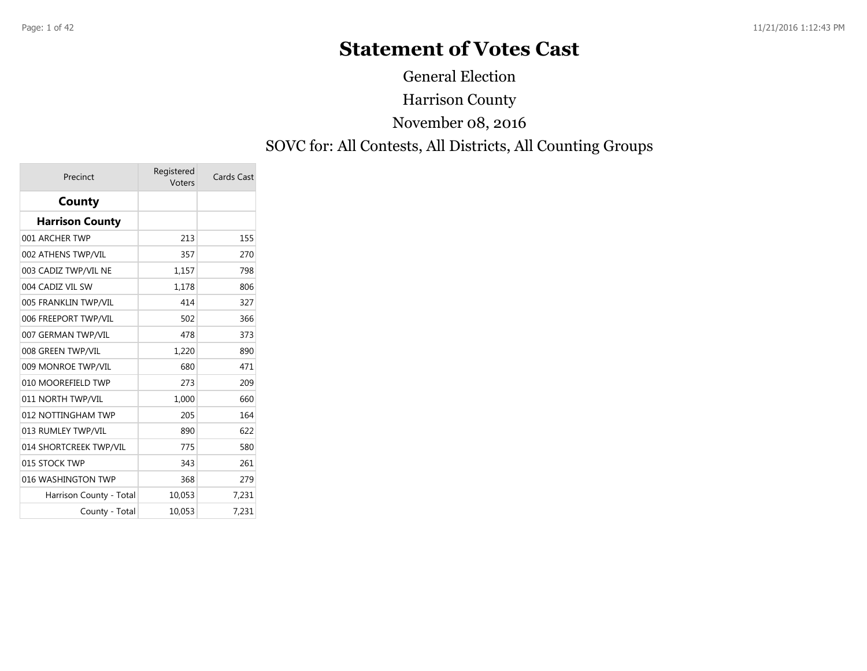## **Statement of Votes Cast**

Harrison County SOVC for: All Contests, All Districts, All Counting Groups November 08, 2016 General Election

| Precinct                | Registered<br>Voters | Cards Cast |
|-------------------------|----------------------|------------|
| County                  |                      |            |
| <b>Harrison County</b>  |                      |            |
| 001 ARCHER TWP          | 213                  | 155        |
| 002 ATHENS TWP/VIL      | 357                  | 270        |
| 003 CADIZ TWP/VIL NE    | 1,157                | 798        |
| 004 CADIZ VIL SW        | 1,178                | 806        |
| 005 FRANKLIN TWP/VIL    | 414                  | 327        |
| 006 FREEPORT TWP/VIL    | 502                  | 366        |
| 007 GERMAN TWP/VIL      | 478                  | 373        |
| 008 GREEN TWP/VIL       | 1,220                | 890        |
| 009 MONROE TWP/VIL      | 680                  | 471        |
| 010 MOOREFIELD TWP      | 273                  | 209        |
| 011 NORTH TWP/VIL       | 1,000                | 660        |
| 012 NOTTINGHAM TWP      | 205                  | 164        |
| 013 RUMLEY TWP/VIL      | 890                  | 622        |
| 014 SHORTCREEK TWP/VIL  | 775                  | 580        |
| 015 STOCK TWP           | 343                  | 261        |
| 016 WASHINGTON TWP      | 368                  | 279        |
| Harrison County - Total | 10,053               | 7,231      |
| County - Total          | 10,053               | 7,231      |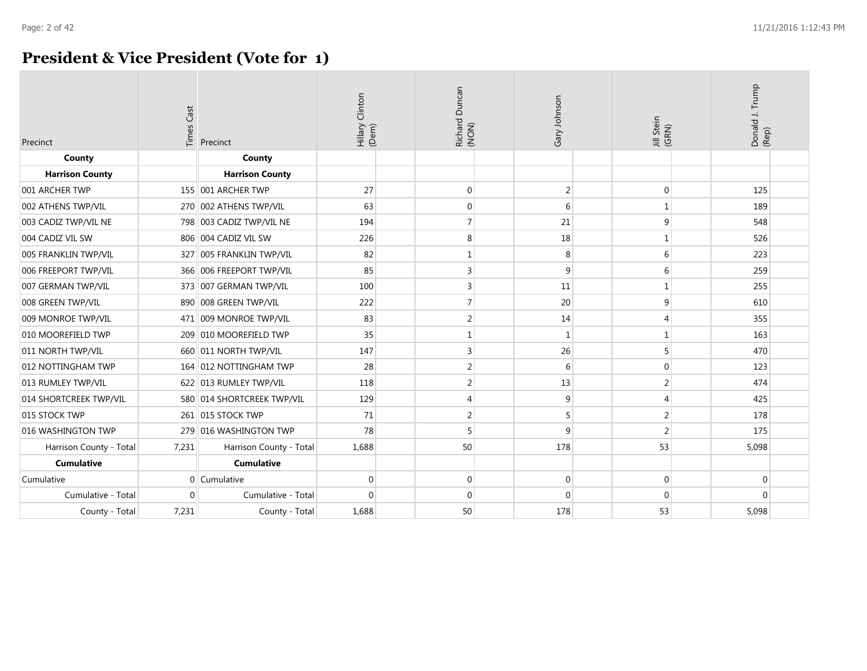### **President & Vice President (Vote for 1)**

| Precinct                | <b>Times Cast</b> | Precinct                 | Hillary Clinton<br>(Dem) | Richard Duncan<br>(NON) | Gary Johnson     | Jill Stein<br>(GRN) | Donald J. Trump<br>(Rep) |  |
|-------------------------|-------------------|--------------------------|--------------------------|-------------------------|------------------|---------------------|--------------------------|--|
| County                  |                   | County                   |                          |                         |                  |                     |                          |  |
| <b>Harrison County</b>  |                   | <b>Harrison County</b>   |                          |                         |                  |                     |                          |  |
| 001 ARCHER TWP          |                   | 155 001 ARCHER TWP       | 27                       | $\pmb{0}$               | $\overline{2}$   | 0                   | 125                      |  |
| 002 ATHENS TWP/VIL      | 270               | 002 ATHENS TWP/VIL       | 63                       | $\boldsymbol{0}$        | 6                | $\mathbf{1}$        | 189                      |  |
| 003 CADIZ TWP/VIL NE    |                   | 798 003 CADIZ TWP/VIL NE | 194                      | $\overline{7}$          | 21               | 9                   | 548                      |  |
| 004 CADIZ VIL SW        |                   | 806 004 CADIZ VIL SW     | 226                      | 8                       | 18               |                     | 526                      |  |
| 005 FRANKLIN TWP/VIL    | 327               | 005 FRANKLIN TWP/VIL     | 82                       | $1\,$                   | 8                | 6                   | 223                      |  |
| 006 FREEPORT TWP/VIL    |                   | 366 006 FREEPORT TWP/VIL | 85                       | 3                       | 9                | 6                   | 259                      |  |
| 007 GERMAN TWP/VIL      |                   | 373 007 GERMAN TWP/VIL   | 100                      | 3                       | 11               | $\mathbf{1}$        | 255                      |  |
| 008 GREEN TWP/VIL       |                   | 890 008 GREEN TWP/VIL    | 222                      | $\overline{7}$          | 20               | 9                   | 610                      |  |
| 009 MONROE TWP/VIL      |                   | 471 009 MONROE TWP/VIL   | 83                       | $\overline{c}$          | 14               | 4                   | 355                      |  |
| 010 MOOREFIELD TWP      | 209               | 010 MOOREFIELD TWP       | 35                       | 1                       | 1                | 1                   | 163                      |  |
| 011 NORTH TWP/VIL       |                   | 660 011 NORTH TWP/VIL    | 147                      | 3                       | 26               | 5                   | 470                      |  |
| 012 NOTTINGHAM TWP      |                   | 164 012 NOTTINGHAM TWP   | 28                       | $\overline{2}$          | 6                | $\mathbf{0}$        | 123                      |  |
| 013 RUMLEY TWP/VIL      |                   | 622 013 RUMLEY TWP/VIL   | 118                      | $\overline{2}$          | 13               | $\overline{2}$      | 474                      |  |
| 014 SHORTCREEK TWP/VIL  | 580               | 014 SHORTCREEK TWP/VIL   | 129                      | $\overline{4}$          | 9                | 4                   | 425                      |  |
| 015 STOCK TWP           |                   | 261 015 STOCK TWP        | 71                       | $\overline{2}$          | 5 <sup>1</sup>   | $\overline{2}$      | 178                      |  |
| 016 WASHINGTON TWP      | 279               | 016 WASHINGTON TWP       | 78                       | 5                       | 9                | $\overline{2}$      | 175                      |  |
| Harrison County - Total | 7,231             | Harrison County - Total  | 1,688                    | 50                      | 178              | 53                  | 5,098                    |  |
| <b>Cumulative</b>       |                   | <b>Cumulative</b>        |                          |                         |                  |                     |                          |  |
| Cumulative              |                   | $0$ Cumulative           | $\mathbf 0$              | $\pmb{0}$               | $\boldsymbol{0}$ | $\mathbf 0$         | $\mathbf 0$              |  |
| Cumulative - Total      | $\Omega$          | Cumulative - Total       | $\Omega$                 | $\mathbf{0}$            | $\Omega$         | $\mathbf{0}$        | $\Omega$                 |  |
| County - Total          | 7,231             | County - Total           | 1,688                    | 50                      | 178              | 53                  | 5,098                    |  |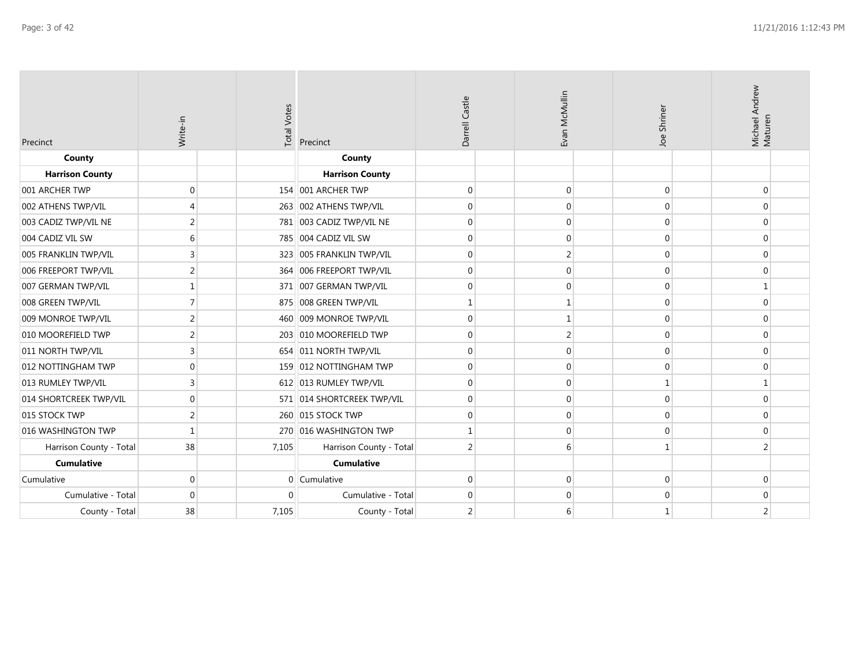| Precinct                | Write-in                    | <b>Total Votes</b> | Precinct                   | Darrell Castle   | Evan McMullin  | Joe Shriner  | Michael Andrew<br>Maturen |
|-------------------------|-----------------------------|--------------------|----------------------------|------------------|----------------|--------------|---------------------------|
| County                  |                             |                    | County                     |                  |                |              |                           |
| <b>Harrison County</b>  |                             |                    | <b>Harrison County</b>     |                  |                |              |                           |
| 001 ARCHER TWP          | $\mathbf 0$                 |                    | 154 001 ARCHER TWP         | $\mathbf 0$      | $\mathbf 0$    | 0            | $\mathbf{0}$              |
| 002 ATHENS TWP/VIL      | $\boldsymbol{\vartriangle}$ |                    | 263 002 ATHENS TWP/VIL     | $\mathbf 0$      | $\Omega$       | 0            | $\mathbf{0}$              |
| 003 CADIZ TWP/VIL NE    | $\overline{2}$              |                    | 781 003 CADIZ TWP/VIL NE   | $\mathbf 0$      | $\mathbf 0$    | 0            | 0                         |
| 004 CADIZ VIL SW        | 6                           |                    | 785 004 CADIZ VIL SW       | $\mathbf 0$      | $\mathbf{0}$   | 0            | $\mathbf{0}$              |
| 005 FRANKLIN TWP/VIL    | 3                           |                    | 323 005 FRANKLIN TWP/VIL   | $\mathbf 0$      | $\overline{2}$ | 0            | 0                         |
| 006 FREEPORT TWP/VIL    | 2                           |                    | 364 006 FREEPORT TWP/VIL   | $\boldsymbol{0}$ | $\mathbf{0}$   | 0            | 0                         |
| 007 GERMAN TWP/VIL      |                             |                    | 371 007 GERMAN TWP/VIL     | $\mathbf 0$      | $\mathbf{0}$   | 0            | $\mathbf{1}$              |
| 008 GREEN TWP/VIL       |                             |                    | 875 008 GREEN TWP/VIL      | $\mathbf{1}$     | -1             | $\Omega$     | $\mathbf{0}$              |
| 009 MONROE TWP/VIL      | 2                           |                    | 460 009 MONROE TWP/VIL     | $\boldsymbol{0}$ |                | 0            | 0                         |
| 010 MOOREFIELD TWP      | $\overline{\phantom{a}}$    |                    | 203 010 MOOREFIELD TWP     | $\mathbf{0}$     | 2              | $\Omega$     | $\mathbf{0}$              |
| 011 NORTH TWP/VIL       | 3                           |                    | 654 011 NORTH TWP/VIL      | $\mathbf 0$      | $\Omega$       | 0            | 0                         |
| 012 NOTTINGHAM TWP      | $\mathbf 0$                 |                    | 159 012 NOTTINGHAM TWP     | $\mathbf 0$      | $\mathbf{0}$   | 0            | $\mathbf{0}$              |
| 013 RUMLEY TWP/VIL      | 3                           |                    | 612 013 RUMLEY TWP/VIL     | $\mathbf 0$      | $\mathbf{0}$   | $\mathbf{1}$ | $\mathbf{1}$              |
| 014 SHORTCREEK TWP/VIL  | $\mathbf{0}$                |                    | 571 014 SHORTCREEK TWP/VIL | $\mathbf 0$      | $\Omega$       | $\Omega$     | $\mathbf{0}$              |
| 015 STOCK TWP           | $\overline{2}$              |                    | 260 015 STOCK TWP          | $\boldsymbol{0}$ | $\mathbf{0}$   | 0            | $\boldsymbol{0}$          |
| 016 WASHINGTON TWP      | $\mathbf{1}$                |                    | 270 016 WASHINGTON TWP     | 1                | $\Omega$       | 0            | $\mathbf{0}$              |
| Harrison County - Total | 38                          | 7,105              | Harrison County - Total    | $\overline{2}$   | 6              | $\mathbf{1}$ | 2                         |
| <b>Cumulative</b>       |                             |                    | <b>Cumulative</b>          |                  |                |              |                           |
| Cumulative              | $\mathbf 0$                 |                    | 0 Cumulative               | $\mathbf 0$      | $\mathbf 0$    | 0            | 0                         |
| Cumulative - Total      | $\mathbf 0$                 | $\Omega$           | Cumulative - Total         | $\overline{0}$   | $\mathbf 0$    | 0            | 0                         |
| County - Total          | 38                          | 7,105              | County - Total             | 2                | 6              | 1            | 2                         |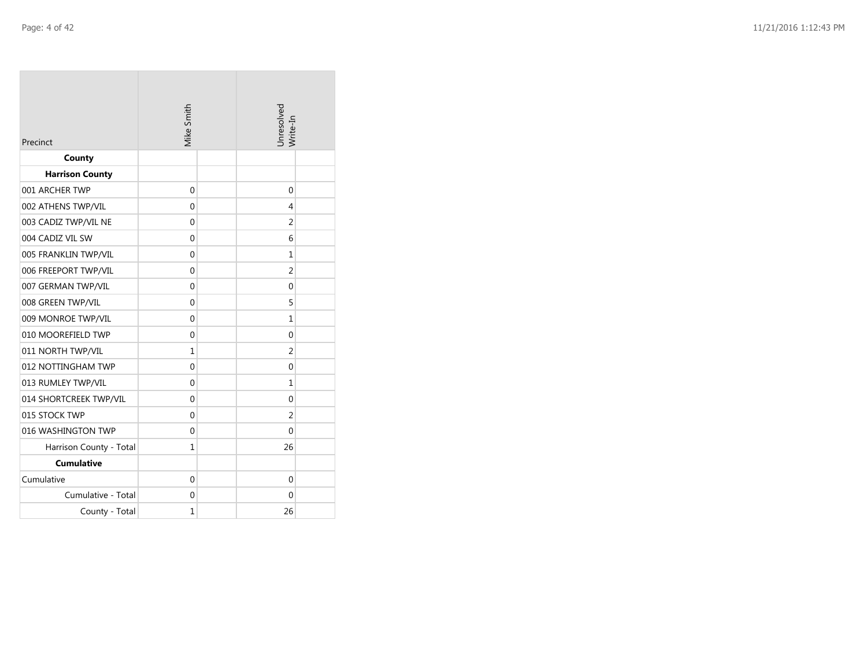| Precinct                | Mike Smith   | Unresolved<br>Write-In |  |  |  |
|-------------------------|--------------|------------------------|--|--|--|
| County                  |              |                        |  |  |  |
| <b>Harrison County</b>  |              |                        |  |  |  |
| 001 ARCHER TWP          | $\mathbf 0$  | 0                      |  |  |  |
| 002 ATHENS TWP/VIL      | $\mathbf{0}$ | 4                      |  |  |  |
| 003 CADIZ TWP/VIL NE    | 0            | 2                      |  |  |  |
| 004 CADIZ VIL SW        | 0            | 6                      |  |  |  |
| 005 FRANKLIN TWP/VIL    | $\mathbf 0$  | 1                      |  |  |  |
| 006 FREEPORT TWP/VIL    | $\Omega$     | $\overline{2}$         |  |  |  |
| 007 GERMAN TWP/VIL      | $\Omega$     | 0                      |  |  |  |
| 008 GREEN TWP/VIL       | $\Omega$     | 5                      |  |  |  |
| 009 MONROE TWP/VIL      | 0            | 1                      |  |  |  |
| 010 MOOREFIELD TWP      | $\mathbf{0}$ | 0                      |  |  |  |
| 011 NORTH TWP/VIL       | $\mathbf{1}$ | $\overline{2}$         |  |  |  |
| 012 NOTTINGHAM TWP      | $\mathbf 0$  | 0                      |  |  |  |
| 013 RUMLEY TWP/VIL      | $\Omega$     | 1                      |  |  |  |
| 014 SHORTCREEK TWP/VIL  | 0            | 0                      |  |  |  |
| 015 STOCK TWP           | $\mathbf{0}$ | $\overline{2}$         |  |  |  |
| 016 WASHINGTON TWP      | $\mathbf{0}$ | 0                      |  |  |  |
| Harrison County - Total | 1            | 26                     |  |  |  |
| <b>Cumulative</b>       |              |                        |  |  |  |
| Cumulative              | $\mathbf 0$  | 0                      |  |  |  |
| Cumulative - Total      | $\mathbf{0}$ | 0                      |  |  |  |
| County - Total          | $\mathbf{1}$ | 26                     |  |  |  |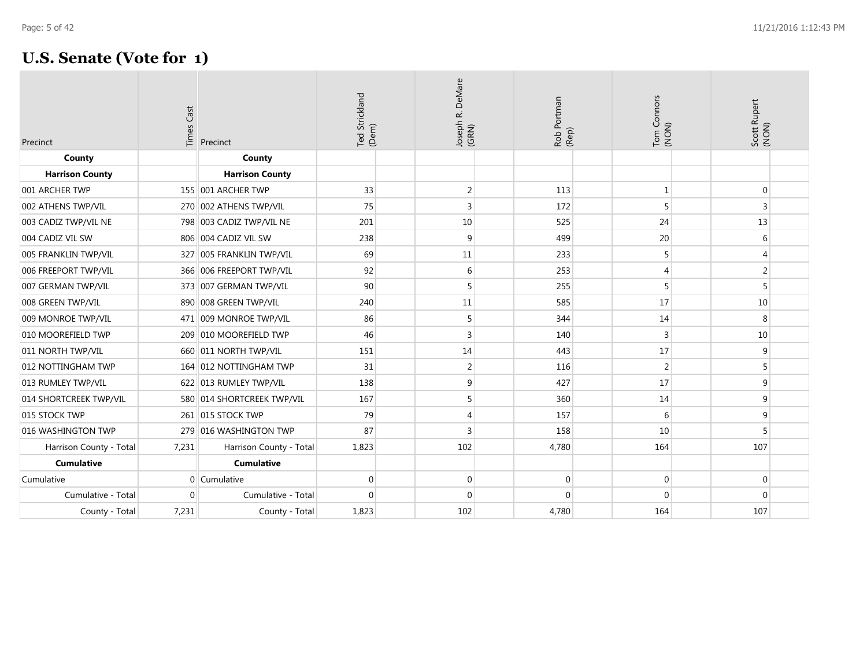| Precinct                | <b>Times Cast</b> | Precinct                   | Ted Strickland<br>(Dem) | DeMare<br>Joseph R. I<br>(GRN) | Rob Portman<br>(Rep) | Tom Connors<br>(NON) | Scott Rupert<br>(NON) |  |
|-------------------------|-------------------|----------------------------|-------------------------|--------------------------------|----------------------|----------------------|-----------------------|--|
| County                  |                   | County                     |                         |                                |                      |                      |                       |  |
| <b>Harrison County</b>  |                   | <b>Harrison County</b>     |                         |                                |                      |                      |                       |  |
| 001 ARCHER TWP          |                   | 155 001 ARCHER TWP         | 33                      | $\overline{2}$                 | 113                  | $\mathbf 1$          | $\mathbf 0$           |  |
| 002 ATHENS TWP/VIL      |                   | 270 002 ATHENS TWP/VIL     | 75                      | 3                              | 172                  | 5                    | 3                     |  |
| 003 CADIZ TWP/VIL NE    |                   | 798 003 CADIZ TWP/VIL NE   | 201                     | 10                             | 525                  | 24                   | 13                    |  |
| 004 CADIZ VIL SW        |                   | 806 004 CADIZ VIL SW       | 238                     | 9                              | 499                  | 20                   | 6                     |  |
| 005 FRANKLIN TWP/VIL    |                   | 327 005 FRANKLIN TWP/VIL   | 69                      | 11                             | 233                  | 5                    | 4                     |  |
| 006 FREEPORT TWP/VIL    |                   | 366 006 FREEPORT TWP/VIL   | 92                      | 6                              | 253                  | $\overline{4}$       | $\overline{2}$        |  |
| 007 GERMAN TWP/VIL      |                   | 373 007 GERMAN TWP/VIL     | 90                      | 5                              | 255                  | 5                    | 5                     |  |
| 008 GREEN TWP/VIL       |                   | 890 008 GREEN TWP/VIL      | 240                     | 11                             | 585                  | 17                   | 10                    |  |
| 009 MONROE TWP/VIL      |                   | 471 009 MONROE TWP/VIL     | 86                      | 5                              | 344                  | 14                   | 8                     |  |
| 010 MOOREFIELD TWP      |                   | 209 010 MOOREFIELD TWP     | 46                      | 3                              | 140                  | 3                    | 10                    |  |
| 011 NORTH TWP/VIL       |                   | 660 011 NORTH TWP/VIL      | 151                     | 14                             | 443                  | 17                   | 9                     |  |
| 012 NOTTINGHAM TWP      |                   | 164 012 NOTTINGHAM TWP     | 31                      | $\overline{2}$                 | 116                  | $\overline{2}$       | 5                     |  |
| 013 RUMLEY TWP/VIL      |                   | 622 013 RUMLEY TWP/VIL     | 138                     | 9                              | 427                  | 17                   | 9                     |  |
| 014 SHORTCREEK TWP/VIL  |                   | 580 014 SHORTCREEK TWP/VIL | 167                     | 5                              | 360                  | 14                   | 9                     |  |
| 015 STOCK TWP           |                   | 261 015 STOCK TWP          | 79                      | $\overline{4}$                 | 157                  | 6                    | 9                     |  |
| 016 WASHINGTON TWP      | 279               | 016 WASHINGTON TWP         | 87                      | 3                              | 158                  | 10                   | 5                     |  |
| Harrison County - Total | 7,231             | Harrison County - Total    | 1,823                   | 102                            | 4,780                | 164                  | 107                   |  |
| <b>Cumulative</b>       |                   | <b>Cumulative</b>          |                         |                                |                      |                      |                       |  |
| Cumulative              |                   | 0 Cumulative               | $\mathbf 0$             | $\overline{0}$                 | $\mathbf 0$          | $\mathbf 0$          | 0                     |  |
| Cumulative - Total      | $\Omega$          | Cumulative - Total         | $\Omega$                | $\mathbf 0$                    | $\Omega$             | $\Omega$             | $\mathbf 0$           |  |
| County - Total          | 7,231             | County - Total             | 1,823                   | 102                            | 4,780                | 164                  | 107                   |  |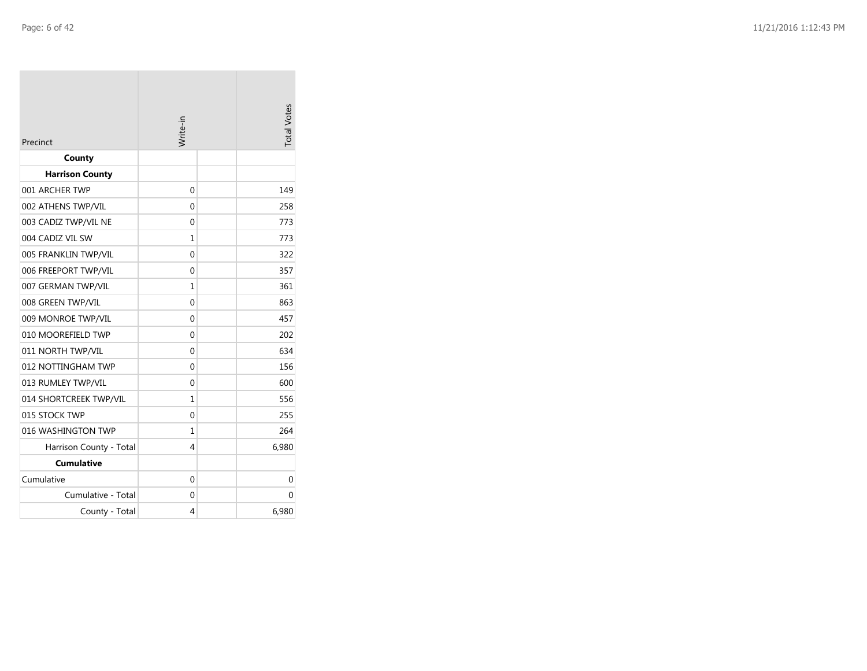| Precinct                | Write-in     | <b>Total Votes</b> |
|-------------------------|--------------|--------------------|
| County                  |              |                    |
| <b>Harrison County</b>  |              |                    |
| 001 ARCHER TWP          | 0            | 149                |
| 002 ATHENS TWP/VIL      | 0            | 258                |
| 003 CADIZ TWP/VIL NE    | 0            | 773                |
| 004 CADIZ VIL SW        | 1            | 773                |
| 005 FRANKLIN TWP/VIL    | 0            | 322                |
| 006 FREEPORT TWP/VIL    | 0            | 357                |
| 007 GERMAN TWP/VIL      | $\mathbf{1}$ | 361                |
| 008 GREEN TWP/VIL       | 0            | 863                |
| 009 MONROE TWP/VIL      | 0            | 457                |
| 010 MOOREFIELD TWP      | 0            | 202                |
| 011 NORTH TWP/VIL       | 0            | 634                |
| 012 NOTTINGHAM TWP      | 0            | 156                |
| 013 RUMLEY TWP/VIL      | 0            | 600                |
| 014 SHORTCREEK TWP/VIL  | 1            | 556                |
| 015 STOCK TWP           | 0            | 255                |
| 016 WASHINGTON TWP      | 1            | 264                |
| Harrison County - Total | 4            | 6,980              |
| <b>Cumulative</b>       |              |                    |
| Cumulative              | 0            | 0                  |
| Cumulative - Total      | 0            | 0                  |
| County - Total          | 4            | 6,980              |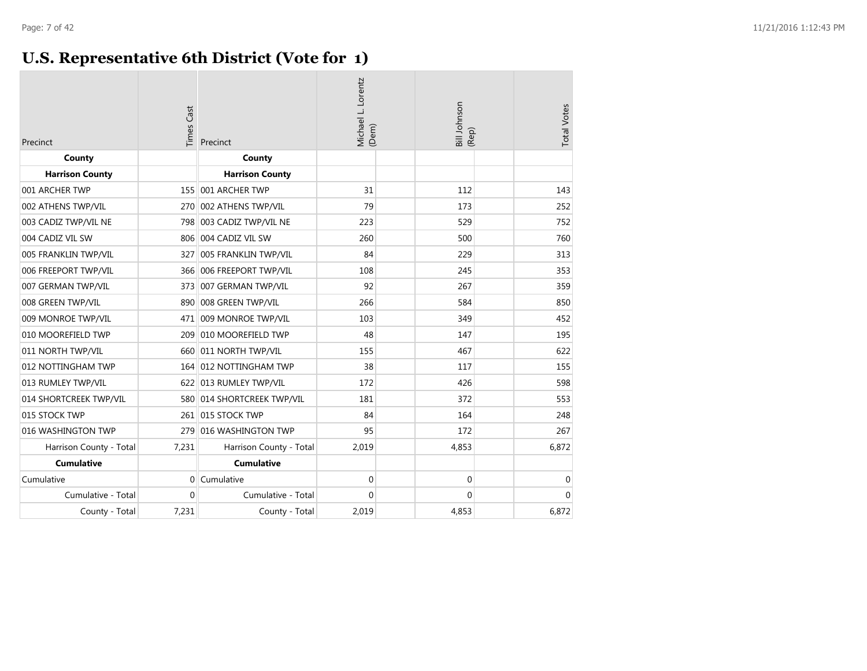### **U.S. Representative 6th District (Vote for 1)**

| Precinct                | <b>Times Cast</b> | Precinct                | Michael L. Lorentz<br>(Dem) | Bill Johnson<br>(Rep) | <b>Total Votes</b> |
|-------------------------|-------------------|-------------------------|-----------------------------|-----------------------|--------------------|
| County                  |                   | County                  |                             |                       |                    |
| <b>Harrison County</b>  |                   | <b>Harrison County</b>  |                             |                       |                    |
| 001 ARCHER TWP          |                   | 155 001 ARCHER TWP      | 31                          | 112                   | 143                |
| 002 ATHENS TWP/VIL      | 270               | 002 ATHENS TWP/VIL      | 79                          | 173                   | 252                |
| 003 CADIZ TWP/VIL NE    | 798               | 003 CADIZ TWP/VIL NE    | 223                         | 529                   | 752                |
| 004 CADIZ VIL SW        | 806               | 004 CADIZ VIL SW        | 260                         | 500                   | 760                |
| 005 FRANKLIN TWP/VIL    | 327               | 005 FRANKLIN TWP/VIL    | 84                          | 229                   | 313                |
| 006 FREEPORT TWP/VIL    | 366               | 006 FREEPORT TWP/VIL    | 108                         | 245                   | 353                |
| 007 GERMAN TWP/VIL      | 373               | 007 GERMAN TWP/VIL      | 92                          | 267                   | 359                |
| 008 GREEN TWP/VIL       | 890               | 008 GREEN TWP/VIL       | 266                         | 584                   | 850                |
| 009 MONROE TWP/VIL      | 471               | 009 MONROE TWP/VIL      | 103                         | 349                   | 452                |
| 010 MOOREFIELD TWP      | 209               | 010 MOOREFIELD TWP      | 48                          | 147                   | 195                |
| 011 NORTH TWP/VIL       | 660               | 011 NORTH TWP/VIL       | 155                         | 467                   | 622                |
| 012 NOTTINGHAM TWP      | 164               | 012 NOTTINGHAM TWP      | 38                          | 117                   | 155                |
| 013 RUMLEY TWP/VIL      |                   | 622 013 RUMLEY TWP/VIL  | 172                         | 426                   | 598                |
| 014 SHORTCREEK TWP/VIL  | 580               | 014 SHORTCREEK TWP/VIL  | 181                         | 372                   | 553                |
| 015 STOCK TWP           |                   | 261 015 STOCK TWP       | 84                          | 164                   | 248                |
| 016 WASHINGTON TWP      | 279               | 016 WASHINGTON TWP      | 95                          | 172                   | 267                |
| Harrison County - Total | 7,231             | Harrison County - Total | 2,019                       | 4,853                 | 6,872              |
| <b>Cumulative</b>       |                   | <b>Cumulative</b>       |                             |                       |                    |
| Cumulative              | 0                 | Cumulative              | $\mathbf 0$                 | 0                     | $\mathbf 0$        |
| Cumulative - Total      | $\mathbf{0}$      | Cumulative - Total      | $\mathbf 0$                 | 0                     | $\Omega$           |
| County - Total          | 7,231             | County - Total          | 2,019                       | 4,853                 | 6,872              |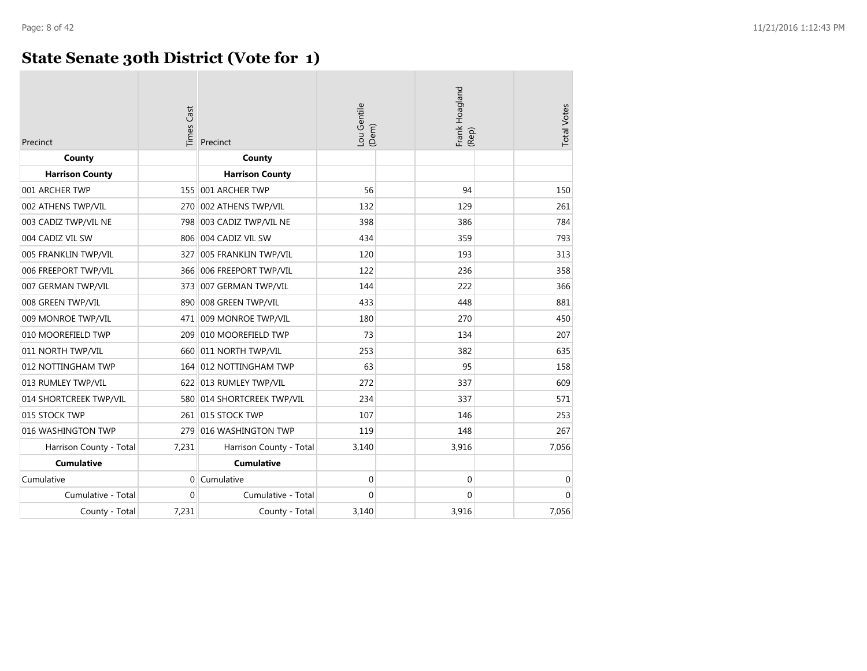### **State Senate 30th District (Vote for 1)**

| Precinct                | <b>Times Cast</b> | Precinct                   | Lou Gentile<br>(Dem) | Frank Hoagland<br>(Rep) | <b>Total Votes</b> |
|-------------------------|-------------------|----------------------------|----------------------|-------------------------|--------------------|
| County                  |                   | County                     |                      |                         |                    |
| <b>Harrison County</b>  |                   | <b>Harrison County</b>     |                      |                         |                    |
| 001 ARCHER TWP          |                   | 155 001 ARCHER TWP         | 56                   | 94                      | 150                |
| 002 ATHENS TWP/VIL      |                   | 270 002 ATHENS TWP/VIL     | 132                  | 129                     | 261                |
| 003 CADIZ TWP/VIL NE    |                   | 798 003 CADIZ TWP/VIL NE   | 398                  | 386                     | 784                |
| 004 CADIZ VIL SW        |                   | 806 004 CADIZ VIL SW       | 434                  | 359                     | 793                |
| 005 FRANKLIN TWP/VIL    |                   | 327 005 FRANKLIN TWP/VIL   | 120                  | 193                     | 313                |
| 006 FREEPORT TWP/VIL    |                   | 366 006 FREEPORT TWP/VIL   | 122                  | 236                     | 358                |
| 007 GERMAN TWP/VIL      |                   | 373 007 GERMAN TWP/VIL     | 144                  | 222                     | 366                |
| 008 GREEN TWP/VIL       |                   | 890 008 GREEN TWP/VIL      | 433                  | 448                     | 881                |
| 009 MONROE TWP/VIL      |                   | 471 009 MONROE TWP/VIL     | 180                  | 270                     | 450                |
| 010 MOOREFIELD TWP      |                   | 209 010 MOOREFIELD TWP     | 73                   | 134                     | 207                |
| 011 NORTH TWP/VIL       | 660               | 011 NORTH TWP/VIL          | 253                  | 382                     | 635                |
| 012 NOTTINGHAM TWP      |                   | 164 012 NOTTINGHAM TWP     | 63                   | 95                      | 158                |
| 013 RUMLEY TWP/VIL      |                   | 622 013 RUMLEY TWP/VIL     | 272                  | 337                     | 609                |
| 014 SHORTCREEK TWP/VIL  |                   | 580 014 SHORTCREEK TWP/VIL | 234                  | 337                     | 571                |
| 015 STOCK TWP           |                   | 261 015 STOCK TWP          | 107                  | 146                     | 253                |
| 016 WASHINGTON TWP      | 279               | 016 WASHINGTON TWP         | 119                  | 148                     | 267                |
| Harrison County - Total | 7,231             | Harrison County - Total    | 3,140                | 3,916                   | 7,056              |
| <b>Cumulative</b>       |                   | <b>Cumulative</b>          |                      |                         |                    |
| Cumulative              |                   | 0 Cumulative               | 0                    | $\mathbf 0$             | 0                  |
| Cumulative - Total      | $\Omega$          | Cumulative - Total         | $\Omega$             | $\Omega$                | $\Omega$           |
| County - Total          | 7,231             | County - Total             | 3,140                | 3,916                   | 7,056              |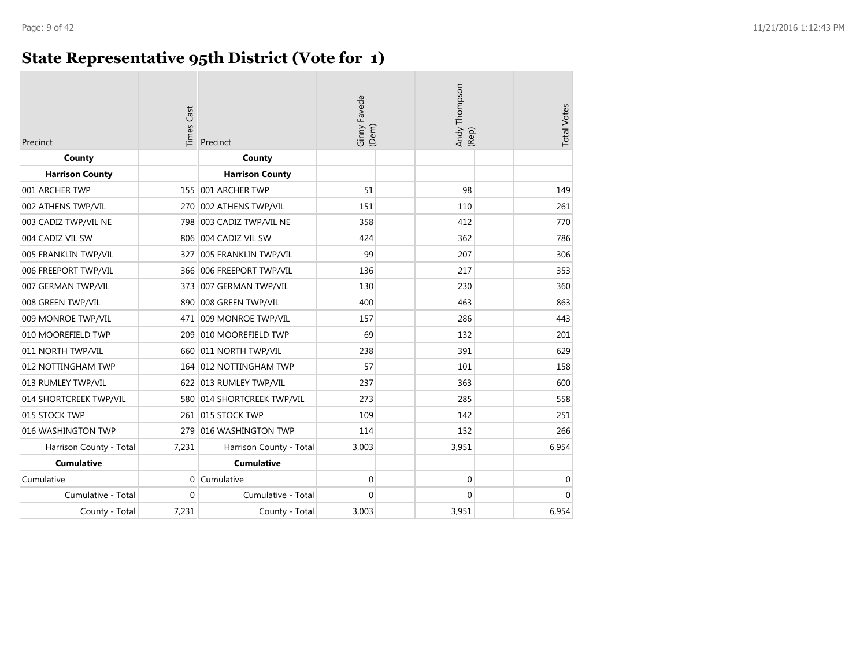### **State Representative 95th District (Vote for 1)**

| Precinct                | <b>Times Cast</b> | Precinct                | Ginny Favede<br>(Dem) | Andy Thompson<br>(Rep) | <b>Total Votes</b> |
|-------------------------|-------------------|-------------------------|-----------------------|------------------------|--------------------|
| County                  |                   | County                  |                       |                        |                    |
| <b>Harrison County</b>  |                   | <b>Harrison County</b>  |                       |                        |                    |
| 001 ARCHER TWP          | 155               | 001 ARCHER TWP          | 51                    | 98                     | 149                |
| 002 ATHENS TWP/VIL      | 270               | 002 ATHENS TWP/VIL      | 151                   | 110                    | 261                |
| 003 CADIZ TWP/VIL NE    | 7981              | 003 CADIZ TWP/VIL NE    | 358                   | 412                    | 770                |
| 004 CADIZ VIL SW        | 806               | 004 CADIZ VIL SW        | 424                   | 362                    | 786                |
| 005 FRANKLIN TWP/VIL    | 327               | 005 FRANKLIN TWP/VIL    | 99                    | 207                    | 306                |
| 006 FREEPORT TWP/VIL    | 366               | 006 FREEPORT TWP/VIL    | 136                   | 217                    | 353                |
| 007 GERMAN TWP/VIL      | 373               | 007 GERMAN TWP/VIL      | 130                   | 230                    | 360                |
| 008 GREEN TWP/VIL       | 890               | 008 GREEN TWP/VIL       | 400                   | 463                    | 863                |
| 009 MONROE TWP/VIL      | 471               | 009 MONROE TWP/VIL      | 157                   | 286                    | 443                |
| 010 MOOREFIELD TWP      | 209               | 010 MOOREFIELD TWP      | 69                    | 132                    | 201                |
| 011 NORTH TWP/VIL       | 660               | 011 NORTH TWP/VIL       | 238                   | 391                    | 629                |
| 012 NOTTINGHAM TWP      | 164               | 012 NOTTINGHAM TWP      | 57                    | 101                    | 158                |
| 013 RUMLEY TWP/VIL      |                   | 622 013 RUMLEY TWP/VIL  | 237                   | 363                    | 600                |
| 014 SHORTCREEK TWP/VIL  | 580               | 014 SHORTCREEK TWP/VIL  | 273                   | 285                    | 558                |
| 015 STOCK TWP           | 261               | 015 STOCK TWP           | 109                   | 142                    | 251                |
| 016 WASHINGTON TWP      | 279               | 016 WASHINGTON TWP      | 114                   | 152                    | 266                |
| Harrison County - Total | 7,231             | Harrison County - Total | 3,003                 | 3,951                  | 6,954              |
| <b>Cumulative</b>       |                   | <b>Cumulative</b>       |                       |                        |                    |
| Cumulative              | $\overline{0}$    | Cumulative              | $\mathbf 0$           | $\mathbf 0$            | 0                  |
| Cumulative - Total      | $\mathbf{0}$      | Cumulative - Total      | $\Omega$              | $\Omega$               | $\Omega$           |
| County - Total          | 7,231             | County - Total          | 3,003                 | 3,951                  | 6,954              |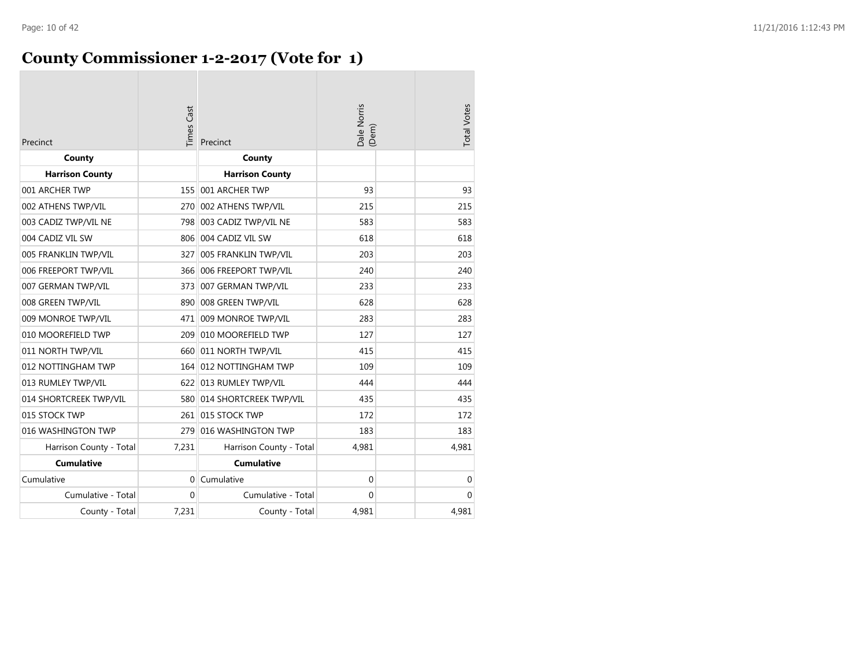# **County Commissioner 1-2-2017 (Vote for 1)**

| Precinct                | <b>Times Cast</b> | Precinct                   | Dale Norris<br>(Dem) | <b>Total Votes</b> |
|-------------------------|-------------------|----------------------------|----------------------|--------------------|
| County                  |                   | County                     |                      |                    |
| <b>Harrison County</b>  |                   | <b>Harrison County</b>     |                      |                    |
| 001 ARCHER TWP          | 155               | 001 ARCHER TWP             | 93                   | 93                 |
| 002 ATHENS TWP/VIL      | 270               | 002 ATHENS TWP/VIL         | 215                  | 215                |
| 003 CADIZ TWP/VIL NE    |                   | 798 003 CADIZ TWP/VIL NE   | 583                  | 583                |
| 004 CADIZ VIL SW        | 806               | 004 CADIZ VIL SW           | 618                  | 618                |
| 005 FRANKLIN TWP/VIL    | 327               | 005 FRANKLIN TWP/VIL       | 203                  | 203                |
| 006 FREEPORT TWP/VIL    |                   | 366 006 FREEPORT TWP/VIL   | 240                  | 240                |
| 007 GERMAN TWP/VIL      | 373               | 007 GERMAN TWP/VIL         | 233                  | 233                |
| 008 GREEN TWP/VIL       |                   | 890 008 GREEN TWP/VIL      | 628                  | 628                |
| 009 MONROE TWP/VIL      | 471               | 009 MONROE TWP/VIL         | 283                  | 283                |
| 010 MOOREFIELD TWP      | 209               | 010 MOOREFIELD TWP         | 127                  | 127                |
| 011 NORTH TWP/VIL       |                   | 660 011 NORTH TWP/VIL      | 415                  | 415                |
| 012 NOTTINGHAM TWP      |                   | 164 012 NOTTINGHAM TWP     | 109                  | 109                |
| 013 RUMLEY TWP/VIL      |                   | 622 013 RUMLEY TWP/VIL     | 444                  | 444                |
| 014 SHORTCREEK TWP/VIL  |                   | 580 014 SHORTCREEK TWP/VIL | 435                  | 435                |
| 015 STOCK TWP           |                   | 261 015 STOCK TWP          | 172                  | 172                |
| 016 WASHINGTON TWP      |                   | 279 016 WASHINGTON TWP     | 183                  | 183                |
| Harrison County - Total | 7,231             | Harrison County - Total    | 4,981                | 4,981              |
| <b>Cumulative</b>       |                   | <b>Cumulative</b>          |                      |                    |
| Cumulative              | $\Omega$          | Cumulative                 | $\mathbf{0}$         | $\mathbf 0$        |
| Cumulative - Total      | $\Omega$          | Cumulative - Total         | $\Omega$             | $\mathbf{0}$       |
| County - Total          | 7,231             | County - Total             | 4,981                | 4,981              |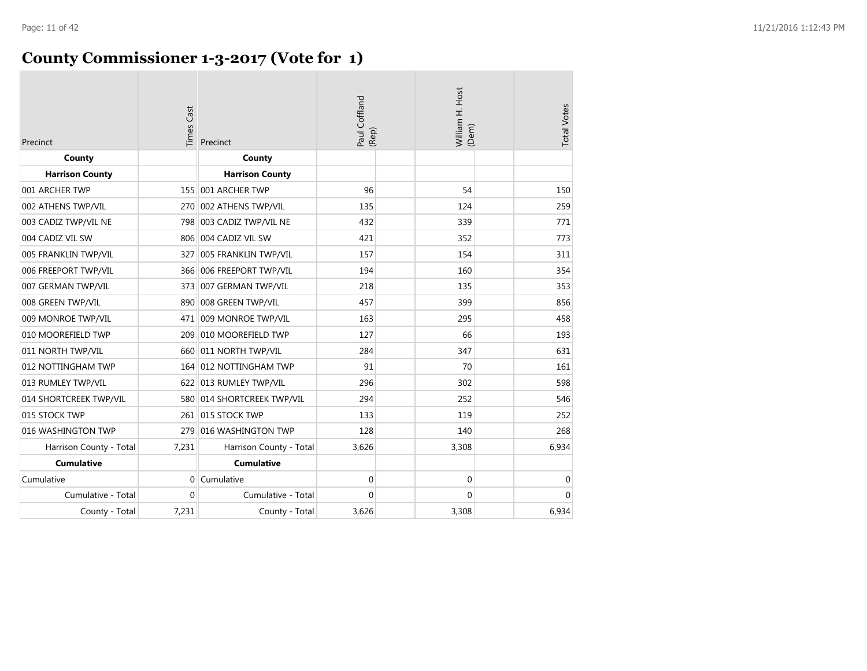| Precinct                | <b>Times Cast</b> | Precinct                   | Paul Coffland<br>(Rep) | William H. Host | (Dem)       | <b>Total Votes</b> |
|-------------------------|-------------------|----------------------------|------------------------|-----------------|-------------|--------------------|
| County                  |                   | County                     |                        |                 |             |                    |
| <b>Harrison County</b>  |                   | <b>Harrison County</b>     |                        |                 |             |                    |
| 001 ARCHER TWP          |                   | 155 001 ARCHER TWP         | 96                     |                 | 54          | 150                |
| 002 ATHENS TWP/VIL      |                   | 270 002 ATHENS TWP/VIL     | 135                    |                 | 124         | 259                |
| 003 CADIZ TWP/VIL NE    | 798               | 003 CADIZ TWP/VIL NE       | 432                    |                 | 339         | 771                |
| 004 CADIZ VIL SW        |                   | 806 004 CADIZ VIL SW       | 421                    |                 | 352         | 773                |
| 005 FRANKLIN TWP/VIL    | 327               | 005 FRANKLIN TWP/VIL       | 157                    |                 | 154         | 311                |
| 006 FREEPORT TWP/VIL    |                   | 366 006 FREEPORT TWP/VIL   | 194                    |                 | 160         | 354                |
| 007 GERMAN TWP/VIL      |                   | 373 007 GERMAN TWP/VIL     | 218                    |                 | 135         | 353                |
| 008 GREEN TWP/VIL       |                   | 890 008 GREEN TWP/VIL      | 457                    |                 | 399         | 856                |
| 009 MONROE TWP/VIL      |                   | 471 009 MONROE TWP/VIL     | 163                    |                 | 295         | 458                |
| 010 MOOREFIELD TWP      |                   | 209 010 MOOREFIELD TWP     | 127                    |                 | 66          | 193                |
| 011 NORTH TWP/VIL       |                   | 660 011 NORTH TWP/VIL      | 284                    |                 | 347         | 631                |
| 012 NOTTINGHAM TWP      |                   | 164 012 NOTTINGHAM TWP     | 91                     |                 | 70          | 161                |
| 013 RUMLEY TWP/VIL      |                   | 622 013 RUMLEY TWP/VIL     | 296                    |                 | 302         | 598                |
| 014 SHORTCREEK TWP/VIL  |                   | 580 014 SHORTCREEK TWP/VIL | 294                    |                 | 252         | 546                |
| 015 STOCK TWP           |                   | 261 015 STOCK TWP          | 133                    |                 | 119         | 252                |
| 016 WASHINGTON TWP      |                   | 279 016 WASHINGTON TWP     | 128                    |                 | 140         | 268                |
| Harrison County - Total | 7,231             | Harrison County - Total    | 3,626                  |                 | 3,308       | 6,934              |
| <b>Cumulative</b>       |                   | <b>Cumulative</b>          |                        |                 |             |                    |
| Cumulative              |                   | $0$ Cumulative             | $\mathbf 0$            |                 | $\mathbf 0$ | $\mathbf 0$        |
| Cumulative - Total      | $\Omega$          | Cumulative - Total         | $\Omega$               |                 | $\Omega$    | $\Omega$           |
| County - Total          | 7,231             | County - Total             | 3,626                  |                 | 3,308       | 6,934              |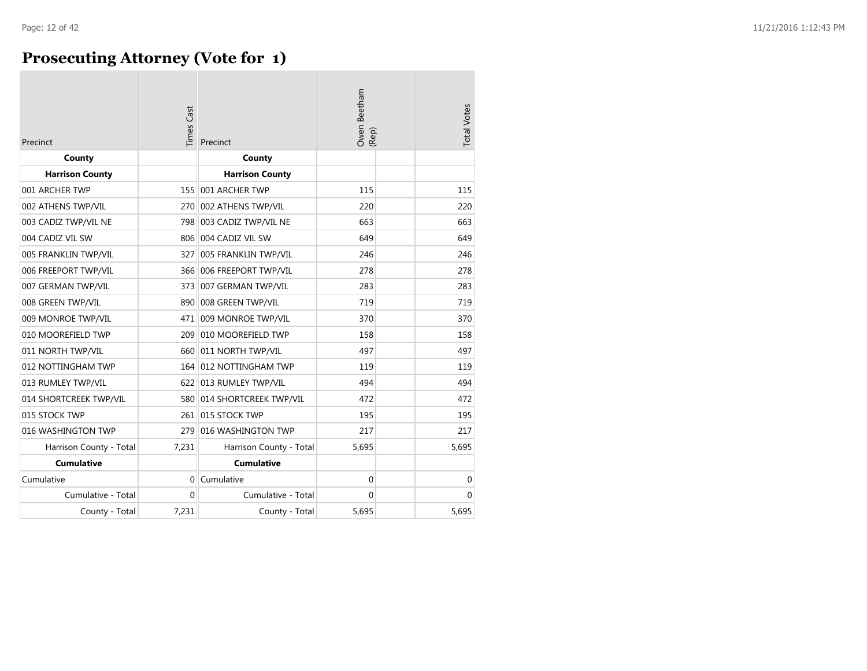### **Prosecuting Attorney (Vote for 1)**

| Precinct                | Times Cast | Precinct                   | Owen Beetham<br>(Rep) | <b>Total Votes</b> |
|-------------------------|------------|----------------------------|-----------------------|--------------------|
| County                  |            | County                     |                       |                    |
| <b>Harrison County</b>  |            | <b>Harrison County</b>     |                       |                    |
| 001 ARCHER TWP          | 155        | 001 ARCHER TWP             | 115                   | 115                |
| 002 ATHENS TWP/VIL      | 270        | 002 ATHENS TWP/VIL         | 220                   | 220                |
| 003 CADIZ TWP/VIL NE    |            | 798 003 CADIZ TWP/VIL NE   | 663                   | 663                |
| 004 CADIZ VIL SW        |            | 806 004 CADIZ VIL SW       | 649                   | 649                |
| 005 FRANKLIN TWP/VIL    | 327        | 005 FRANKLIN TWP/VIL       | 246                   | 246                |
| 006 FREEPORT TWP/VIL    |            | 366 006 FREEPORT TWP/VIL   | 278                   | 278                |
| 007 GERMAN TWP/VIL      | 373        | 007 GERMAN TWP/VIL         | 283                   | 283                |
| 008 GREEN TWP/VIL       | 890        | 008 GREEN TWP/VIL          | 719                   | 719                |
| 009 MONROE TWP/VIL      |            | 471 009 MONROE TWP/VIL     | 370                   | 370                |
| 010 MOOREFIELD TWP      | 209        | 010 MOOREFIELD TWP         | 158                   | 158                |
| 011 NORTH TWP/VIL       |            | 660 011 NORTH TWP/VIL      | 497                   | 497                |
| 012 NOTTINGHAM TWP      |            | 164 012 NOTTINGHAM TWP     | 119                   | 119                |
| 013 RUMLEY TWP/VIL      |            | 622 013 RUMLEY TWP/VIL     | 494                   | 494                |
| 014 SHORTCREEK TWP/VIL  |            | 580 014 SHORTCREEK TWP/VIL | 472                   | 472                |
| 015 STOCK TWP           |            | 261 015 STOCK TWP          | 195                   | 195                |
| 016 WASHINGTON TWP      | 279        | 016 WASHINGTON TWP         | 217                   | 217                |
| Harrison County - Total | 7,231      | Harrison County - Total    | 5,695                 | 5,695              |
| <b>Cumulative</b>       |            | <b>Cumulative</b>          |                       |                    |
| Cumulative              | $\Omega$   | Cumulative                 | 0                     | 0                  |
| Cumulative - Total      | $\Omega$   | Cumulative - Total         | 0                     | $\mathbf{0}$       |
| County - Total          | 7,231      | County - Total             | 5.695                 | 5.695              |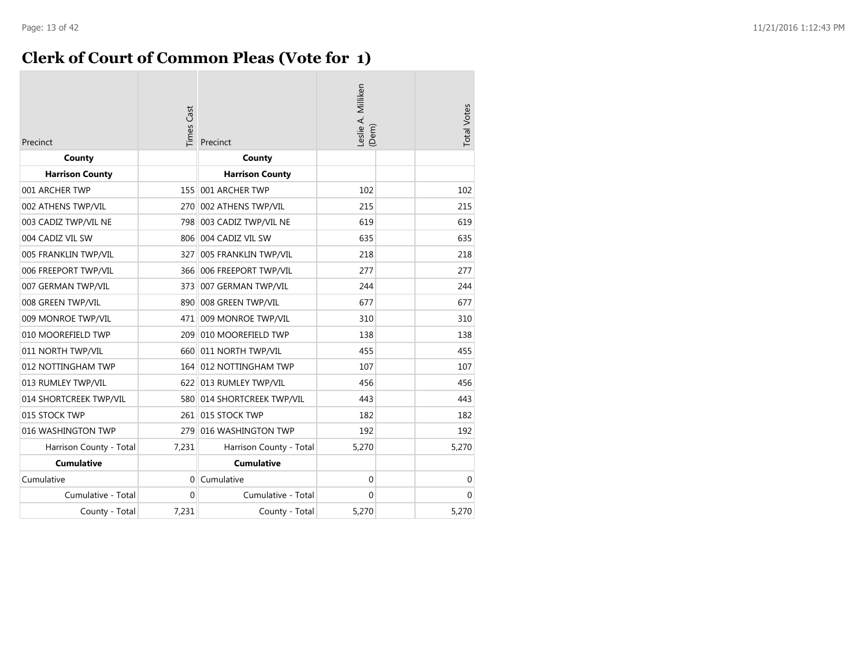### **Clerk of Court of Common Pleas (Vote for 1)**

| Precinct                | <b>Times Cast</b> | Precinct                   | eslie A. Milliken<br>(Dem) | <b>Total Votes</b> |
|-------------------------|-------------------|----------------------------|----------------------------|--------------------|
| County                  |                   | County                     |                            |                    |
| <b>Harrison County</b>  |                   | <b>Harrison County</b>     |                            |                    |
| 001 ARCHER TWP          | 155               | 001 ARCHER TWP             | 102                        | 102                |
| 002 ATHENS TWP/VIL      | 270               | 002 ATHENS TWP/VIL         | 215                        | 215                |
| 003 CADIZ TWP/VIL NE    | 798               | 003 CADIZ TWP/VIL NE       | 619                        | 619                |
| 004 CADIZ VIL SW        | 806               | 004 CADIZ VIL SW           | 635                        | 635                |
| 005 FRANKLIN TWP/VIL    | 327               | 005 FRANKLIN TWP/VIL       | 218                        | 218                |
| 006 FREEPORT TWP/VIL    |                   | 366 006 FREEPORT TWP/VIL   | 277                        | 277                |
| 007 GERMAN TWP/VIL      |                   | 373 007 GERMAN TWP/VIL     | 244                        | 244                |
| 008 GREEN TWP/VIL       |                   | 890 008 GREEN TWP/VIL      | 677                        | 677                |
| 009 MONROE TWP/VIL      | 471               | 009 MONROE TWP/VIL         | 310                        | 310                |
| 010 MOOREFIELD TWP      | 209               | 010 MOOREFIELD TWP         | 138                        | 138                |
| 011 NORTH TWP/VIL       |                   | 660 011 NORTH TWP/VIL      | 455                        | 455                |
| 012 NOTTINGHAM TWP      |                   | 164 012 NOTTINGHAM TWP     | 107                        | 107                |
| 013 RUMLEY TWP/VIL      |                   | 622 013 RUMLEY TWP/VIL     | 456                        | 456                |
| 014 SHORTCREEK TWP/VIL  |                   | 580 014 SHORTCREEK TWP/VIL | 443                        | 443                |
| 015 STOCK TWP           |                   | 261 015 STOCK TWP          | 182                        | 182                |
| 016 WASHINGTON TWP      | 279               | 016 WASHINGTON TWP         | 192                        | 192                |
| Harrison County - Total | 7,231             | Harrison County - Total    | 5,270                      | 5,270              |
| <b>Cumulative</b>       |                   | <b>Cumulative</b>          |                            |                    |
| Cumulative              | $\Omega$          | Cumulative                 | 0                          | 0                  |
| Cumulative - Total      | $\Omega$          | Cumulative - Total         | $\Omega$                   | $\Omega$           |
| County - Total          | 7,231             | County - Total             | 5,270                      | 5,270              |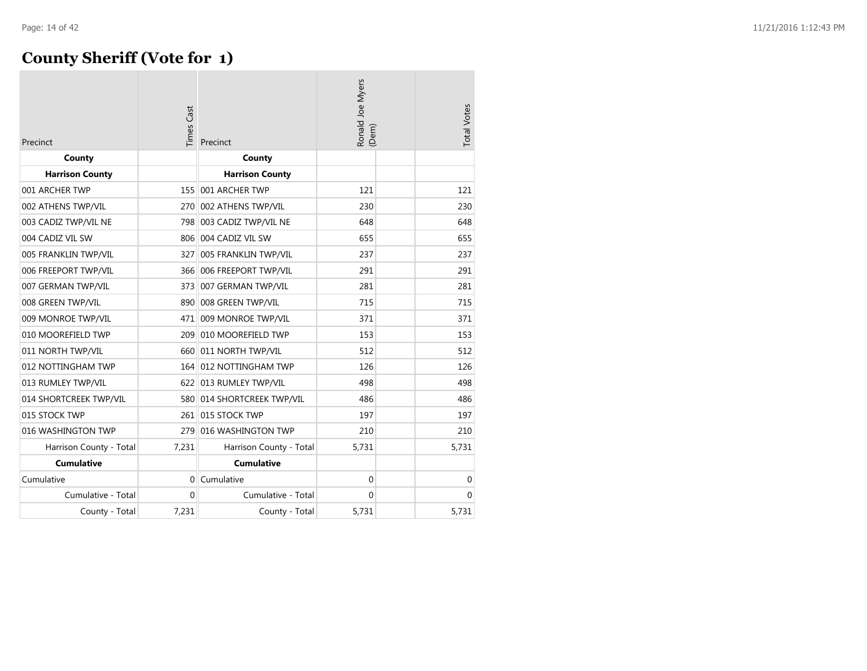### **County Sheriff (Vote for 1)**

| Precinct                | Times Cast | Precinct                   | Ronald Joe Myers<br>(Dem) | <b>Total Votes</b> |
|-------------------------|------------|----------------------------|---------------------------|--------------------|
| County                  |            | County                     |                           |                    |
| <b>Harrison County</b>  |            | <b>Harrison County</b>     |                           |                    |
| 001 ARCHER TWP          | 155        | 001 ARCHER TWP             | 121                       | 121                |
| 002 ATHENS TWP/VIL      | 270        | 002 ATHENS TWP/VIL         | 230                       | 230                |
| 003 CADIZ TWP/VIL NE    | 798        | 003 CADIZ TWP/VIL NE       | 648                       | 648                |
| 004 CADIZ VIL SW        |            | 806 004 CADIZ VIL SW       | 655                       | 655                |
| 005 FRANKLIN TWP/VIL    | 327        | 005 FRANKLIN TWP/VIL       | 237                       | 237                |
| 006 FREEPORT TWP/VIL    |            | 366 006 FREEPORT TWP/VIL   | 291                       | 291                |
| 007 GERMAN TWP/VIL      | 373        | 007 GERMAN TWP/VIL         | 281                       | 281                |
| 008 GREEN TWP/VIL       | 890        | 008 GREEN TWP/VIL          | 715                       | 715                |
| 009 MONROE TWP/VIL      | 471        | 009 MONROE TWP/VIL         | 371                       | 371                |
| 010 MOOREFIELD TWP      | 209        | 010 MOOREFIELD TWP         | 153                       | 153                |
| 011 NORTH TWP/VIL       |            | 660 011 NORTH TWP/VIL      | 512                       | 512                |
| 012 NOTTINGHAM TWP      |            | 164 012 NOTTINGHAM TWP     | 126                       | 126                |
| 013 RUMLEY TWP/VIL      |            | 622 013 RUMLEY TWP/VIL     | 498                       | 498                |
| 014 SHORTCREEK TWP/VIL  |            | 580 014 SHORTCREEK TWP/VIL | 486                       | 486                |
| 015 STOCK TWP           |            | 261 015 STOCK TWP          | 197                       | 197                |
| 016 WASHINGTON TWP      | 279        | 016 WASHINGTON TWP         | 210                       | 210                |
| Harrison County - Total | 7,231      | Harrison County - Total    | 5,731                     | 5,731              |
| <b>Cumulative</b>       |            | <b>Cumulative</b>          |                           |                    |
| Cumulative              | $\Omega$   | Cumulative                 | $\mathbf 0$               | 0                  |
| Cumulative - Total      | $\Omega$   | Cumulative - Total         | $\Omega$                  | $\Omega$           |
| County - Total          | 7,231      | County - Total             | 5,731                     | 5,731              |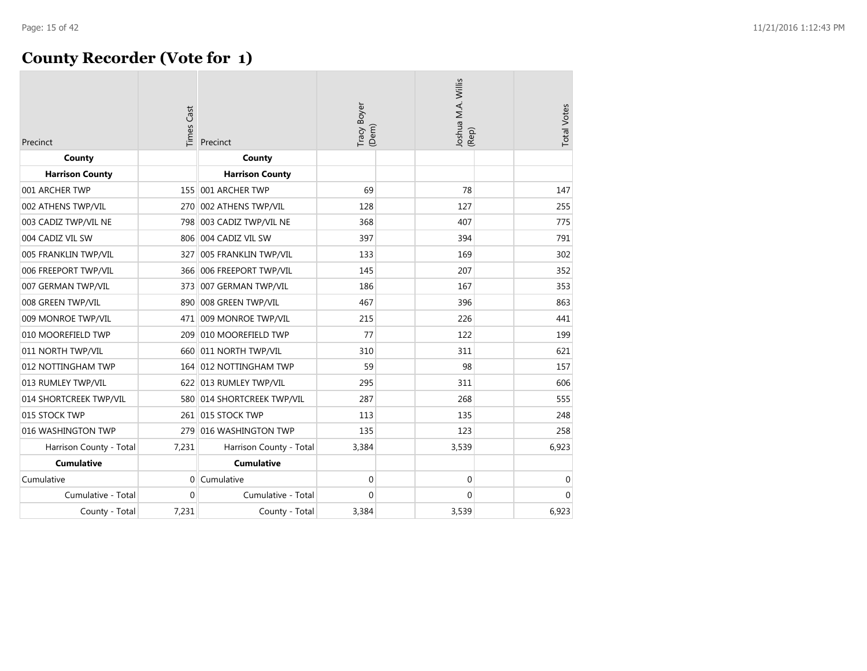### **County Recorder (Vote for 1)**

| Precinct                | <b>Times Cast</b> | Precinct                   | Tracy Boyer<br>(Dem) | Joshua M.A. Willis<br>(Rep) | <b>Total Votes</b> |
|-------------------------|-------------------|----------------------------|----------------------|-----------------------------|--------------------|
| County                  |                   | County                     |                      |                             |                    |
| <b>Harrison County</b>  |                   | <b>Harrison County</b>     |                      |                             |                    |
| 001 ARCHER TWP          |                   | 155 001 ARCHER TWP         | 69                   | 78                          | 147                |
| 002 ATHENS TWP/VIL      | 270               | 002 ATHENS TWP/VIL         | 128                  | 127                         | 255                |
| 003 CADIZ TWP/VIL NE    |                   | 798 003 CADIZ TWP/VIL NE   | 368                  | 407                         | 775                |
| 004 CADIZ VIL SW        |                   | 806 004 CADIZ VIL SW       | 397                  | 394                         | 791                |
| 005 FRANKLIN TWP/VIL    | 327               | 005 FRANKLIN TWP/VIL       | 133                  | 169                         | 302                |
| 006 FREEPORT TWP/VIL    |                   | 366 006 FREEPORT TWP/VIL   | 145                  | 207                         | 352                |
| 007 GERMAN TWP/VIL      |                   | 373 007 GERMAN TWP/VIL     | 186                  | 167                         | 353                |
| 008 GREEN TWP/VIL       | 890               | 008 GREEN TWP/VIL          | 467                  | 396                         | 863                |
| 009 MONROE TWP/VIL      |                   | 471 009 MONROE TWP/VIL     | 215                  | 226                         | 441                |
| 010 MOOREFIELD TWP      |                   | 209 010 MOOREFIELD TWP     | 77                   | 122                         | 199                |
| 011 NORTH TWP/VIL       | 660               | 011 NORTH TWP/VIL          | 310                  | 311                         | 621                |
| 012 NOTTINGHAM TWP      |                   | 164 012 NOTTINGHAM TWP     | 59                   | 98                          | 157                |
| 013 RUMLEY TWP/VIL      |                   | 622 013 RUMLEY TWP/VIL     | 295                  | 311                         | 606                |
| 014 SHORTCREEK TWP/VIL  |                   | 580 014 SHORTCREEK TWP/VIL | 287                  | 268                         | 555                |
| 015 STOCK TWP           |                   | 261 015 STOCK TWP          | 113                  | 135                         | 248                |
| 016 WASHINGTON TWP      | 279               | 016 WASHINGTON TWP         | 135                  | 123                         | 258                |
| Harrison County - Total | 7,231             | Harrison County - Total    | 3,384                | 3,539                       | 6,923              |
| <b>Cumulative</b>       |                   | <b>Cumulative</b>          |                      |                             |                    |
| Cumulative              |                   | $0$ Cumulative             | $\mathbf 0$          | $\mathbf 0$                 | $\mathbf 0$        |
| Cumulative - Total      | $\mathbf{0}$      | Cumulative - Total         | 0                    | $\mathbf 0$                 | $\mathbf 0$        |
| County - Total          | 7,231             | County - Total             | 3,384                | 3,539                       | 6,923              |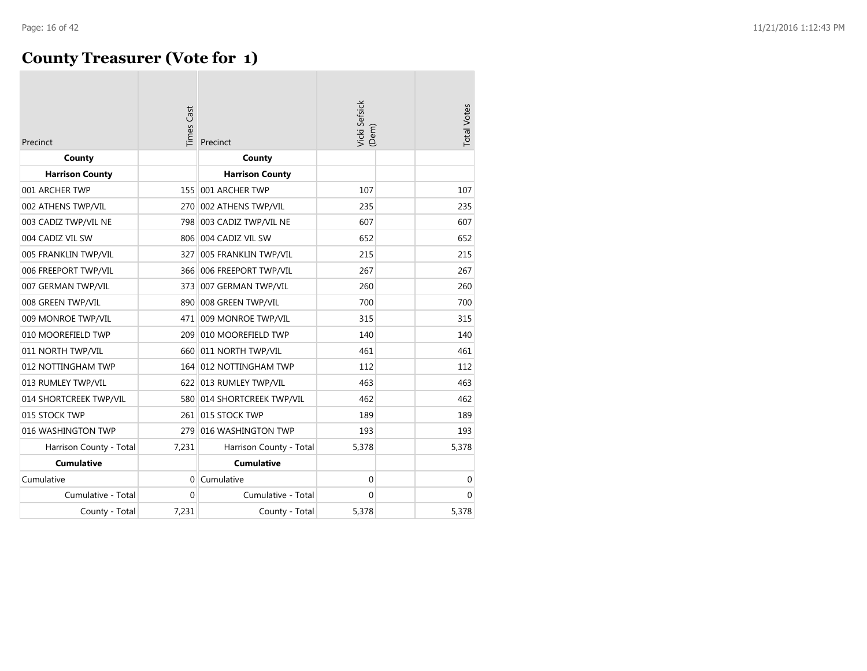### **County Treasurer (Vote for 1)**

| Precinct                | Times Cast | Precinct                   | Vicki Sefsick<br>(Dem) | <b>Total Votes</b> |
|-------------------------|------------|----------------------------|------------------------|--------------------|
| County                  |            | County                     |                        |                    |
| <b>Harrison County</b>  |            | <b>Harrison County</b>     |                        |                    |
| 001 ARCHER TWP          |            | 155 001 ARCHER TWP         | 107                    | 107                |
| 002 ATHENS TWP/VIL      |            | 270 002 ATHENS TWP/VIL     | 235                    | 235                |
| 003 CADIZ TWP/VIL NE    |            | 798 003 CADIZ TWP/VIL NE   | 607                    | 607                |
| 004 CADIZ VIL SW        |            | 806 004 CADIZ VIL SW       | 652                    | 652                |
| 005 FRANKLIN TWP/VIL    | 327        | 005 FRANKLIN TWP/VIL       | 215                    | 215                |
| 006 FREEPORT TWP/VIL    |            | 366 006 FREEPORT TWP/VIL   | 267                    | 267                |
| 007 GERMAN TWP/VIL      | 373        | 007 GERMAN TWP/VIL         | 260                    | 260                |
| 008 GREEN TWP/VIL       | 890        | 008 GREEN TWP/VIL          | 700                    | 700                |
| 009 MONROE TWP/VIL      |            | 471 009 MONROE TWP/VIL     | 315                    | 315                |
| 010 MOOREFIELD TWP      | 209        | 010 MOOREFIELD TWP         | 140                    | 140                |
| 011 NORTH TWP/VIL       |            | 660 011 NORTH TWP/VIL      | 461                    | 461                |
| 012 NOTTINGHAM TWP      |            | 164 012 NOTTINGHAM TWP     | 112                    | 112                |
| 013 RUMLEY TWP/VIL      |            | 622 013 RUMLEY TWP/VIL     | 463                    | 463                |
| 014 SHORTCREEK TWP/VIL  |            | 580 014 SHORTCREEK TWP/VIL | 462                    | 462                |
| 015 STOCK TWP           | 261        | 015 STOCK TWP              | 189                    | 189                |
| 016 WASHINGTON TWP      | 279        | 016 WASHINGTON TWP         | 193                    | 193                |
| Harrison County - Total | 7,231      | Harrison County - Total    | 5,378                  | 5,378              |
| <b>Cumulative</b>       |            | <b>Cumulative</b>          |                        |                    |
| Cumulative              | $\Omega$   | Cumulative                 | $\mathbf 0$            | 0                  |
| Cumulative - Total      | $\Omega$   | Cumulative - Total         | $\mathbf 0$            | $\overline{0}$     |
| County - Total          | 7,231      | County - Total             | 5,378                  | 5,378              |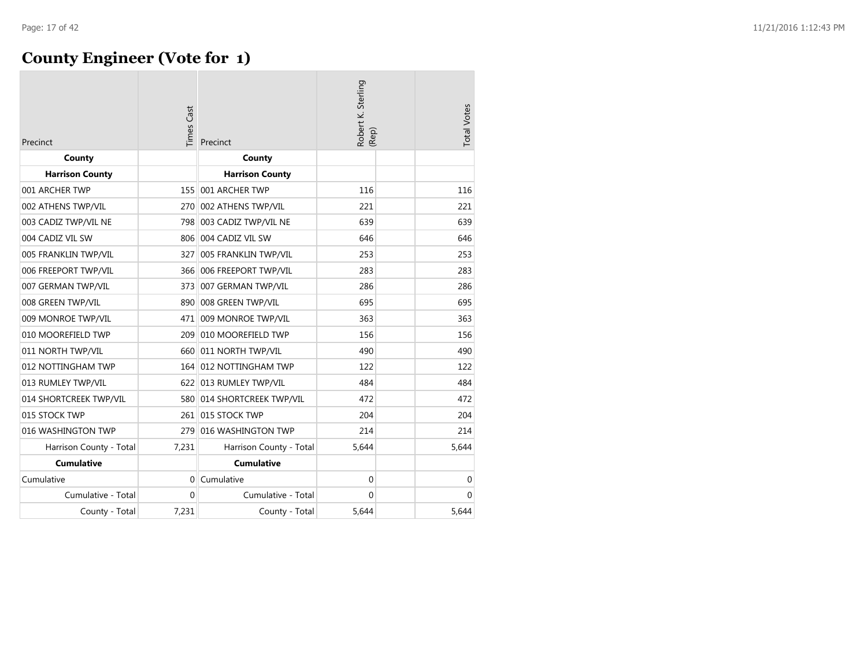### **County Engineer (Vote for 1)**

| Precinct                | imes Cast | Precinct                   | Robert K. Sterling<br>(Rep) | <b>Total Votes</b> |
|-------------------------|-----------|----------------------------|-----------------------------|--------------------|
| County                  |           | County                     |                             |                    |
| <b>Harrison County</b>  |           | <b>Harrison County</b>     |                             |                    |
| 001 ARCHER TWP          |           | 155 001 ARCHER TWP         | 116                         | 116                |
| 002 ATHENS TWP/VIL      | 270       | 002 ATHENS TWP/VIL         | 221                         | 221                |
| 003 CADIZ TWP/VIL NE    | 798       | 003 CADIZ TWP/VIL NE       | 639                         | 639                |
| 004 CADIZ VIL SW        |           | 806 004 CADIZ VIL SW       | 646                         | 646                |
| 005 FRANKLIN TWP/VIL    | 327       | 005 FRANKLIN TWP/VIL       | 253                         | 253                |
| 006 FREEPORT TWP/VIL    |           | 366 006 FREEPORT TWP/VIL   | 283                         | 283                |
| 007 GERMAN TWP/VIL      | 373       | 007 GERMAN TWP/VIL         | 286                         | 286                |
| 008 GREEN TWP/VIL       | 890       | 008 GREEN TWP/VIL          | 695                         | 695                |
| 009 MONROE TWP/VIL      | 471       | 009 MONROE TWP/VIL         | 363                         | 363                |
| 010 MOOREFIELD TWP      | 209       | 010 MOOREFIELD TWP         | 156                         | 156                |
| 011 NORTH TWP/VIL       | 660       | 011 NORTH TWP/VIL          | 490                         | 490                |
| 012 NOTTINGHAM TWP      |           | 164 012 NOTTINGHAM TWP     | 122                         | 122                |
| 013 RUMLEY TWP/VIL      |           | 622 013 RUMLEY TWP/VIL     | 484                         | 484                |
| 014 SHORTCREEK TWP/VIL  |           | 580 014 SHORTCREEK TWP/VIL | 472                         | 472                |
| 015 STOCK TWP           |           | 261 015 STOCK TWP          | 204                         | 204                |
| 016 WASHINGTON TWP      | 279       | 016 WASHINGTON TWP         | 214                         | 214                |
| Harrison County - Total | 7,231     | Harrison County - Total    | 5,644                       | 5,644              |
| <b>Cumulative</b>       |           | <b>Cumulative</b>          |                             |                    |
| Cumulative              | $\Omega$  | Cumulative                 | 0                           | 0                  |
| Cumulative - Total      | $\Omega$  | Cumulative - Total         | $\Omega$                    | $\Omega$           |
| County - Total          | 7,231     | County - Total             | 5,644                       | 5,644              |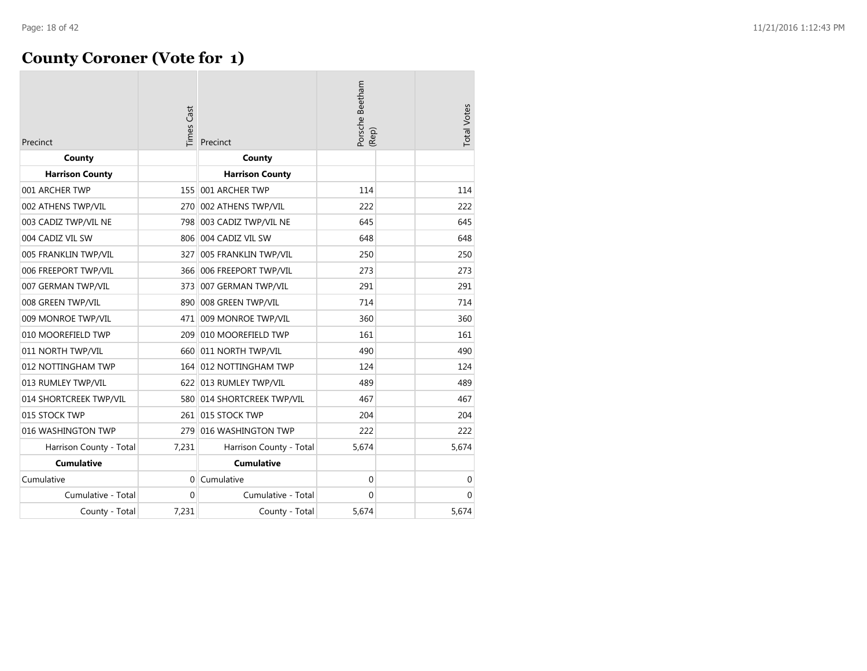### **County Coroner (Vote for 1)**

| Precinct                | Times Cast | Precinct                   | Porsche Beetham<br>(Rep) | <b>Total Votes</b> |
|-------------------------|------------|----------------------------|--------------------------|--------------------|
| County                  |            | County                     |                          |                    |
| <b>Harrison County</b>  |            | <b>Harrison County</b>     |                          |                    |
| 001 ARCHER TWP          | 155        | 001 ARCHER TWP             | 114                      | 114                |
| 002 ATHENS TWP/VIL      | 270        | 002 ATHENS TWP/VIL         | 222                      | 222                |
| 003 CADIZ TWP/VIL NE    | 798        | 003 CADIZ TWP/VIL NE       | 645                      | 645                |
| 004 CADIZ VIL SW        |            | 806 004 CADIZ VIL SW       | 648                      | 648                |
| 005 FRANKLIN TWP/VIL    | 327        | 005 FRANKLIN TWP/VIL       | 250                      | 250                |
| 006 FREEPORT TWP/VIL    | 366        | 006 FREEPORT TWP/VIL       | 273                      | 273                |
| 007 GERMAN TWP/VIL      | 373        | 007 GERMAN TWP/VIL         | 291                      | 291                |
| 008 GREEN TWP/VIL       | 890        | 008 GREEN TWP/VIL          | 714                      | 714                |
| 009 MONROE TWP/VIL      |            | 471 009 MONROE TWP/VIL     | 360                      | 360                |
| 010 MOOREFIELD TWP      | 209        | 010 MOOREFIELD TWP         | 161                      | 161                |
| 011 NORTH TWP/VIL       |            | 660 011 NORTH TWP/VIL      | 490                      | 490                |
| 012 NOTTINGHAM TWP      |            | 164 012 NOTTINGHAM TWP     | 124                      | 124                |
| 013 RUMLEY TWP/VIL      |            | 622 013 RUMLEY TWP/VIL     | 489                      | 489                |
| 014 SHORTCREEK TWP/VIL  |            | 580 014 SHORTCREEK TWP/VIL | 467                      | 467                |
| 015 STOCK TWP           |            | 261 015 STOCK TWP          | 204                      | 204                |
| 016 WASHINGTON TWP      | 279        | 016 WASHINGTON TWP         | 222                      | 222                |
| Harrison County - Total | 7,231      | Harrison County - Total    | 5,674                    | 5,674              |
| <b>Cumulative</b>       |            | <b>Cumulative</b>          |                          |                    |
| Cumulative              | $\Omega$   | Cumulative                 | $\mathbf 0$              | $\mathbf 0$        |
| Cumulative - Total      | $\Omega$   | Cumulative - Total         | $\Omega$                 | $\mathbf{0}$       |
| County - Total          | 7,231      | County - Total             | 5,674                    | 5,674              |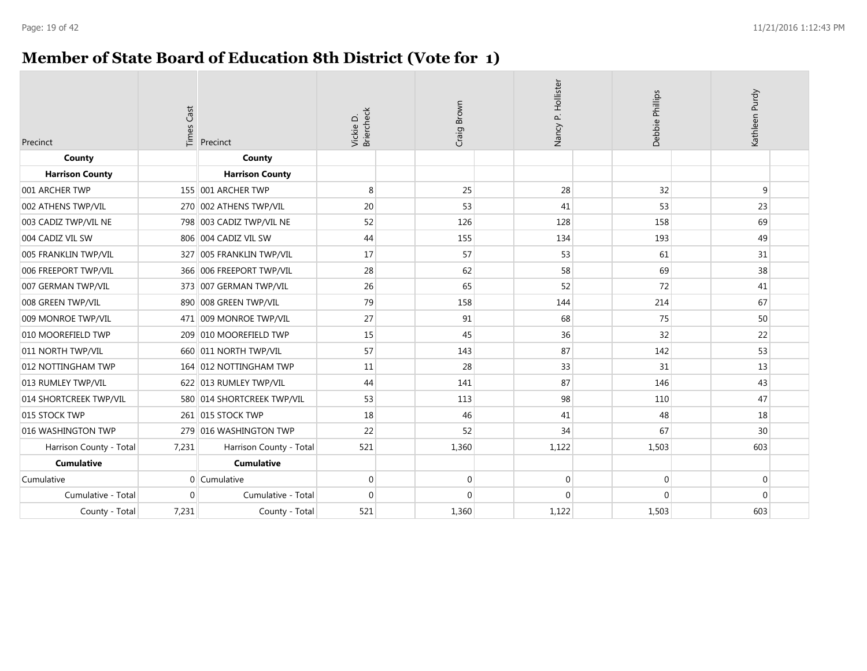### **Member of State Board of Education 8th District (Vote for 1)**

| Precinct                | <b>Times Cast</b> | Precinct                   | Vickie D.<br>Briercheck | Craig Brown | Nancy P. Hollister | Debbie Phillips |             | Kathleen Purdy |  |
|-------------------------|-------------------|----------------------------|-------------------------|-------------|--------------------|-----------------|-------------|----------------|--|
| County                  |                   | County                     |                         |             |                    |                 |             |                |  |
| <b>Harrison County</b>  |                   | <b>Harrison County</b>     |                         |             |                    |                 |             |                |  |
| 001 ARCHER TWP          |                   | 155 001 ARCHER TWP         | 8                       | 25          | 28                 |                 | 32          | 9              |  |
| 002 ATHENS TWP/VIL      |                   | 270 002 ATHENS TWP/VIL     | 20                      | 53          | 41                 |                 | 53          | 23             |  |
| 003 CADIZ TWP/VIL NE    |                   | 798 003 CADIZ TWP/VIL NE   | 52                      | 126         | 128                | 158             |             | 69             |  |
| 004 CADIZ VIL SW        |                   | 806 004 CADIZ VIL SW       | 44                      | 155         | 134                | 193             |             | 49             |  |
| 005 FRANKLIN TWP/VIL    |                   | 327 005 FRANKLIN TWP/VIL   | 17                      | 57          | 53                 |                 | 61          | 31             |  |
| 006 FREEPORT TWP/VIL    |                   | 366 006 FREEPORT TWP/VIL   | 28                      | 62          | 58                 |                 | 69          | 38             |  |
| 007 GERMAN TWP/VIL      |                   | 373 007 GERMAN TWP/VIL     | 26                      | 65          | 52                 |                 | 72          | 41             |  |
| 008 GREEN TWP/VIL       |                   | 890 008 GREEN TWP/VIL      | 79                      | 158         | 144                | 214             |             | 67             |  |
| 009 MONROE TWP/VIL      |                   | 471 009 MONROE TWP/VIL     | 27                      | 91          | 68                 |                 | 75          | 50             |  |
| 010 MOOREFIELD TWP      | 209               | 010 MOOREFIELD TWP         | 15                      | 45          | 36                 |                 | 32          | 22             |  |
| 011 NORTH TWP/VIL       |                   | 660 011 NORTH TWP/VIL      | 57                      | 143         | 87                 | 142             |             | 53             |  |
| 012 NOTTINGHAM TWP      |                   | 164 012 NOTTINGHAM TWP     | 11                      | 28          | 33                 |                 | 31          | 13             |  |
| 013 RUMLEY TWP/VIL      |                   | 622 013 RUMLEY TWP/VIL     | 44                      | 141         | 87                 | 146             |             | 43             |  |
| 014 SHORTCREEK TWP/VIL  |                   | 580 014 SHORTCREEK TWP/VIL | 53                      | 113         | 98                 | 110             |             | 47             |  |
| 015 STOCK TWP           |                   | 261 015 STOCK TWP          | 18                      | 46          | 41                 |                 | 48          | 18             |  |
| 016 WASHINGTON TWP      | 279               | 016 WASHINGTON TWP         | 22                      | 52          | 34                 |                 | 67          | 30             |  |
| Harrison County - Total | 7,231             | Harrison County - Total    | 521                     | 1,360       | 1,122              | 1,503           |             | 603            |  |
| <b>Cumulative</b>       |                   | <b>Cumulative</b>          |                         |             |                    |                 |             |                |  |
| Cumulative              |                   | 0 Cumulative               | $\mathbf 0$             | $\mathbf 0$ |                    | 0               | $\mathbf 0$ | $\mathbf 0$    |  |
| Cumulative - Total      | $\Omega$          | Cumulative - Total         | $\Omega$                | $\Omega$    |                    | $\Omega$        | $\Omega$    | $\Omega$       |  |
| County - Total          | 7,231             | County - Total             | 521                     | 1,360       | 1,122              | 1,503           |             | 603            |  |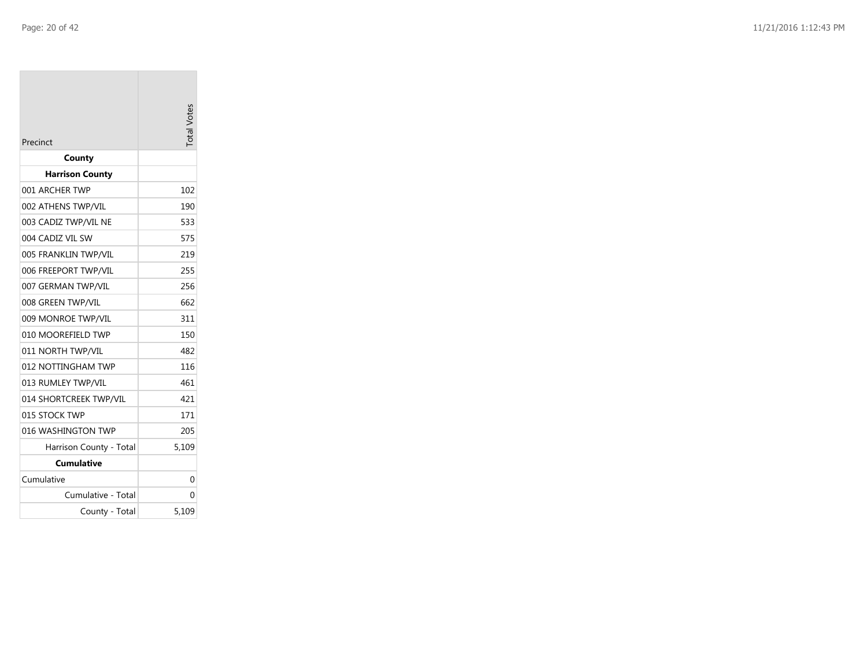| Precinct                | otal Votes |
|-------------------------|------------|
| County                  |            |
| <b>Harrison County</b>  |            |
| 001 ARCHER TWP          | 102        |
| 002 ATHENS TWP/VIL      | 190        |
| 003 CADIZ TWP/VIL NE    | 533        |
| 004 CADIZ VIL SW        | 575        |
| 005 FRANKLIN TWP/VIL    | 219        |
| 006 FREEPORT TWP/VIL    | 255        |
| 007 GERMAN TWP/VIL      | 256        |
| 008 GREEN TWP/VIL       | 662        |
| 009 MONROE TWP/VIL      | 311        |
| 010 MOOREFIELD TWP      | 150        |
| 011 NORTH TWP/VIL       | 482        |
| 012 NOTTINGHAM TWP      | 116        |
| 013 RUMLEY TWP/VIL      | 461        |
| 014 SHORTCREEK TWP/VIL  | 421        |
| 015 STOCK TWP           | 171        |
| 016 WASHINGTON TWP      | 205        |
| Harrison County - Total | 5,109      |
| Cumulative              |            |
| Cumulative              | 0          |
| Cumulative - Total      | 0          |
| County - Total          | 5,109      |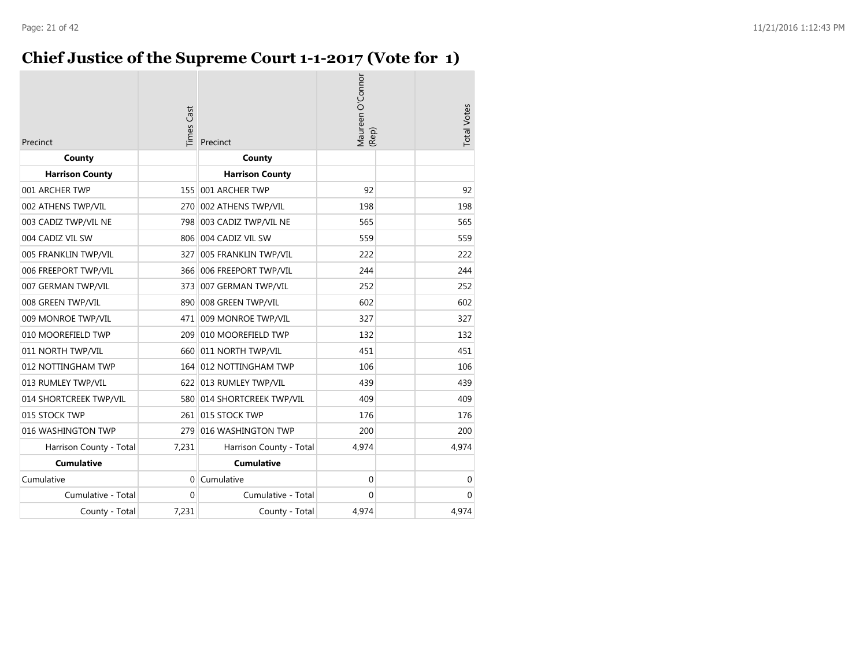### **Chief Justice of the Supreme Court 1-1-2017 (Vote for 1)**

| Precinct                | <b>Times Cast</b> | Precinct                   | Maureen O'Connor<br>(Rep) | <b>Total Votes</b> |
|-------------------------|-------------------|----------------------------|---------------------------|--------------------|
| County                  |                   | County                     |                           |                    |
| <b>Harrison County</b>  |                   | <b>Harrison County</b>     |                           |                    |
| 001 ARCHER TWP          | 155               | 001 ARCHER TWP             | 92                        | 92                 |
| 002 ATHENS TWP/VIL      |                   | 270 002 ATHENS TWP/VIL     | 198                       | 198                |
| 003 CADIZ TWP/VIL NE    | 798               | 003 CADIZ TWP/VIL NE       | 565                       | 565                |
| 004 CADIZ VIL SW        |                   | 806 004 CADIZ VIL SW       | 559                       | 559                |
| 005 FRANKLIN TWP/VIL    | 327               | 005 FRANKLIN TWP/VIL       | 222                       | 222                |
| 006 FREEPORT TWP/VIL    |                   | 366 006 FREEPORT TWP/VIL   | 244                       | 244                |
| 007 GERMAN TWP/VIL      | 373               | 007 GERMAN TWP/VIL         | 252                       | 252                |
| 008 GREEN TWP/VIL       | 890               | 008 GREEN TWP/VIL          | 602                       | 602                |
| 009 MONROE TWP/VIL      | 471               | 009 MONROE TWP/VIL         | 327                       | 327                |
| 010 MOOREFIELD TWP      | 209               | 010 MOOREFIELD TWP         | 132                       | 132                |
| 011 NORTH TWP/VIL       |                   | 660 011 NORTH TWP/VIL      | 451                       | 451                |
| 012 NOTTINGHAM TWP      |                   | 164 012 NOTTINGHAM TWP     | 106                       | 106                |
| 013 RUMLEY TWP/VIL      |                   | 622 013 RUMLEY TWP/VIL     | 439                       | 439                |
| 014 SHORTCREEK TWP/VIL  |                   | 580 014 SHORTCREEK TWP/VIL | 409                       | 409                |
| 015 STOCK TWP           |                   | 261 015 STOCK TWP          | 176                       | 176                |
| 016 WASHINGTON TWP      | 279               | 016 WASHINGTON TWP         | 200                       | 200                |
| Harrison County - Total | 7,231             | Harrison County - Total    | 4,974                     | 4,974              |
| Cumulative              |                   | <b>Cumulative</b>          |                           |                    |
| Cumulative              | $\Omega$          | Cumulative                 | $\mathbf 0$               | 0                  |
| Cumulative - Total      | $\Omega$          | Cumulative - Total         | $\mathbf 0$               | $\mathbf 0$        |
| County - Total          | 7,231             | County - Total             | 4,974                     | 4,974              |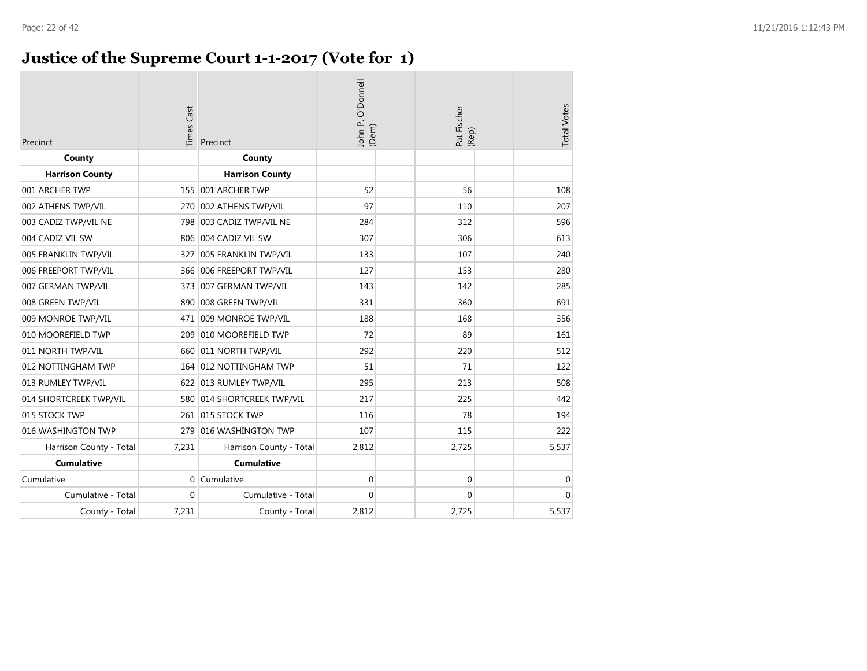### **Justice of the Supreme Court 1-1-2017 (Vote for 1)**

| Precinct                | <b>Times Cast</b> | Precinct                   | John P. O'Donnell<br>(Dem) | Pat Fischer<br>(Rep) | <b>Total Votes</b> |
|-------------------------|-------------------|----------------------------|----------------------------|----------------------|--------------------|
| County                  |                   | County                     |                            |                      |                    |
| <b>Harrison County</b>  |                   | <b>Harrison County</b>     |                            |                      |                    |
| 001 ARCHER TWP          |                   | 155 001 ARCHER TWP         | 52                         | 56                   | 108                |
| 002 ATHENS TWP/VIL      | 270               | 002 ATHENS TWP/VIL         | 97                         | 110                  | 207                |
| 003 CADIZ TWP/VIL NE    | 798               | 003 CADIZ TWP/VIL NE       | 284                        | 312                  | 596                |
| 004 CADIZ VIL SW        |                   | 806 004 CADIZ VIL SW       | 307                        | 306                  | 613                |
| 005 FRANKLIN TWP/VIL    | 327               | 005 FRANKLIN TWP/VIL       | 133                        | 107                  | 240                |
| 006 FREEPORT TWP/VIL    |                   | 366 006 FREEPORT TWP/VIL   | 127                        | 153                  | 280                |
| 007 GERMAN TWP/VIL      |                   | 373 007 GERMAN TWP/VIL     | 143                        | 142                  | 285                |
| 008 GREEN TWP/VIL       | 890               | 008 GREEN TWP/VIL          | 331                        | 360                  | 691                |
| 009 MONROE TWP/VIL      | 471               | 009 MONROE TWP/VIL         | 188                        | 168                  | 356                |
| 010 MOOREFIELD TWP      | 209               | 010 MOOREFIELD TWP         | 72                         | 89                   | 161                |
| 011 NORTH TWP/VIL       |                   | 660 011 NORTH TWP/VIL      | 292                        | 220                  | 512                |
| 012 NOTTINGHAM TWP      |                   | 164 012 NOTTINGHAM TWP     | 51                         | 71                   | 122                |
| 013 RUMLEY TWP/VIL      |                   | 622 013 RUMLEY TWP/VIL     | 295                        | 213                  | 508                |
| 014 SHORTCREEK TWP/VIL  |                   | 580 014 SHORTCREEK TWP/VIL | 217                        | 225                  | 442                |
| 015 STOCK TWP           |                   | 261 015 STOCK TWP          | 116                        | 78                   | 194                |
| 016 WASHINGTON TWP      | 279               | 016 WASHINGTON TWP         | 107                        | 115                  | 222                |
| Harrison County - Total | 7,231             | Harrison County - Total    | 2,812                      | 2,725                | 5,537              |
| <b>Cumulative</b>       |                   | <b>Cumulative</b>          |                            |                      |                    |
| Cumulative              | $\Omega$          | Cumulative                 | $\mathbf 0$                | $\mathbf 0$          | $\mathbf 0$        |
| Cumulative - Total      | $\mathbf{0}$      | Cumulative - Total         | $\Omega$                   | 0                    | $\Omega$           |
| County - Total          | 7,231             | County - Total             | 2,812                      | 2,725                | 5,537              |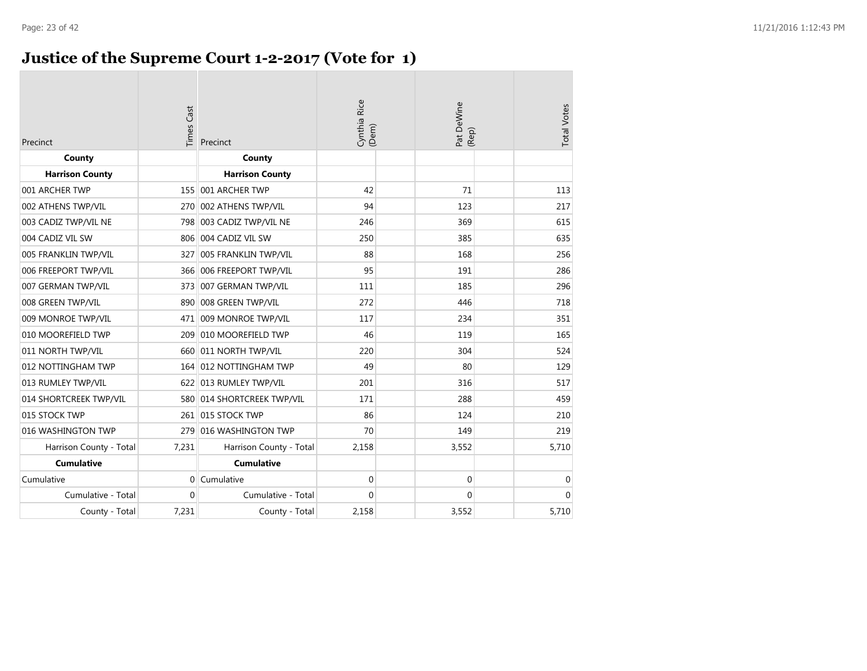### **Justice of the Supreme Court 1-2-2017 (Vote for 1)**

| Precinct                | <b>Times Cast</b> | Precinct                | Cynthia Rice<br>(Dem) | Pat DeWine<br>(Rep) | <b>Total Votes</b> |
|-------------------------|-------------------|-------------------------|-----------------------|---------------------|--------------------|
| County                  |                   | County                  |                       |                     |                    |
| <b>Harrison County</b>  |                   | <b>Harrison County</b>  |                       |                     |                    |
| 001 ARCHER TWP          | 155               | 001 ARCHER TWP          | 42                    | 71                  | 113                |
| 002 ATHENS TWP/VIL      | 270               | 002 ATHENS TWP/VIL      | 94                    | 123                 | 217                |
| 003 CADIZ TWP/VIL NE    | 798               | 003 CADIZ TWP/VIL NE    | 246                   | 369                 | 615                |
| 004 CADIZ VIL SW        | 806               | 004 CADIZ VIL SW        | 250                   | 385                 | 635                |
| 005 FRANKLIN TWP/VIL    | 327               | 005 FRANKLIN TWP/VIL    | 88                    | 168                 | 256                |
| 006 FREEPORT TWP/VIL    | 366               | 006 FREEPORT TWP/VIL    | 95                    | 191                 | 286                |
| 007 GERMAN TWP/VIL      | 3731              | 007 GERMAN TWP/VIL      | 111                   | 185                 | 296                |
| 008 GREEN TWP/VIL       | 890               | 008 GREEN TWP/VIL       | 272                   | 446                 | 718                |
| 009 MONROE TWP/VIL      | 471               | 009 MONROE TWP/VIL      | 117                   | 234                 | 351                |
| 010 MOOREFIELD TWP      | 209               | 010 MOOREFIELD TWP      | 46                    | 119                 | 165                |
| 011 NORTH TWP/VIL       | 660               | 011 NORTH TWP/VIL       | 220                   | 304                 | 524                |
| 012 NOTTINGHAM TWP      | 164               | 012 NOTTINGHAM TWP      | 49                    | 80                  | 129                |
| 013 RUMLEY TWP/VIL      |                   | 622 013 RUMLEY TWP/VIL  | 201                   | 316                 | 517                |
| 014 SHORTCREEK TWP/VIL  | 580               | 014 SHORTCREEK TWP/VIL  | 171                   | 288                 | 459                |
| 015 STOCK TWP           | 261               | 015 STOCK TWP           | 86                    | 124                 | 210                |
| 016 WASHINGTON TWP      | 279               | 016 WASHINGTON TWP      | 70                    | 149                 | 219                |
| Harrison County - Total | 7,231             | Harrison County - Total | 2,158                 | 3,552               | 5,710              |
| <b>Cumulative</b>       |                   | <b>Cumulative</b>       |                       |                     |                    |
| Cumulative              | $\overline{0}$    | Cumulative              | $\boldsymbol{0}$      | $\boldsymbol{0}$    | $\pmb{0}$          |
| Cumulative - Total      | $\mathbf 0$       | Cumulative - Total      | $\mathbf{0}$          | 0                   | $\mathbf{0}$       |
| County - Total          | 7,231             | County - Total          | 2,158                 | 3,552               | 5,710              |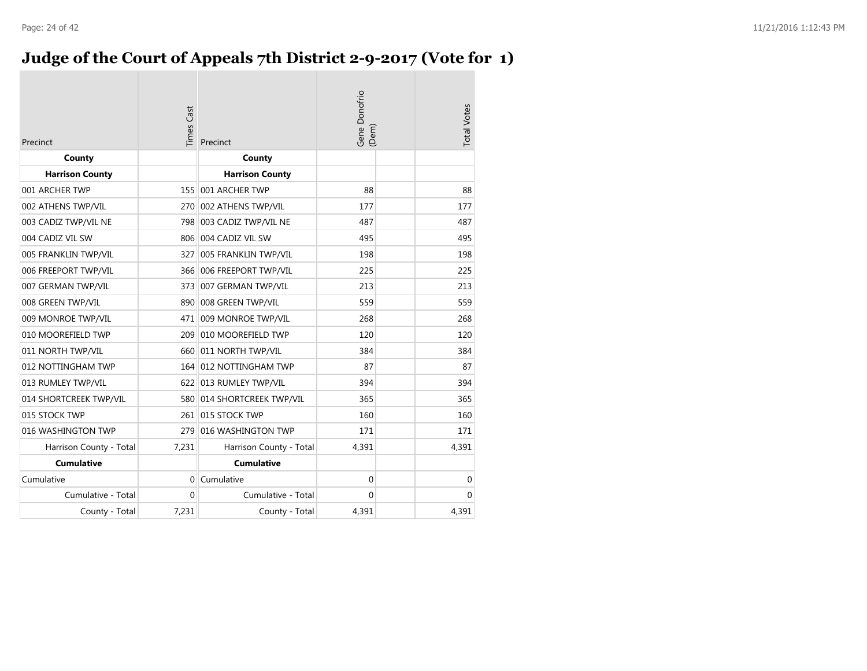### **Judge of the Court of Appeals 7th District 2-9-2017 (Vote for 1)**

| Precinct                | imes Cast | Precinct                   | Gene Donofrio<br>(Dem) | <b>Total Votes</b> |
|-------------------------|-----------|----------------------------|------------------------|--------------------|
| County                  |           | County                     |                        |                    |
| <b>Harrison County</b>  |           | <b>Harrison County</b>     |                        |                    |
| 001 ARCHER TWP          |           | 155 001 ARCHER TWP         | 88                     | 88                 |
| 002 ATHENS TWP/VIL      | 270       | 002 ATHENS TWP/VIL         | 177                    | 177                |
| 003 CADIZ TWP/VIL NE    |           | 798 003 CADIZ TWP/VIL NE   | 487                    | 487                |
| 004 CADIZ VIL SW        |           | 806 004 CADIZ VIL SW       | 495                    | 495                |
| 005 FRANKLIN TWP/VIL    | 327       | 005 FRANKLIN TWP/VIL       | 198                    | 198                |
| 006 FREEPORT TWP/VIL    |           | 366 006 FREEPORT TWP/VIL   | 225                    | 225                |
| 007 GERMAN TWP/VIL      | 373       | 007 GERMAN TWP/VIL         | 213                    | 213                |
| 008 GREEN TWP/VIL       |           | 890 008 GREEN TWP/VIL      | 559                    | 559                |
| 009 MONROE TWP/VIL      |           | 471 009 MONROE TWP/VIL     | 268                    | 268                |
| 010 MOOREFIELD TWP      | 209       | 010 MOOREFIELD TWP         | 120                    | 120                |
| 011 NORTH TWP/VIL       |           | 660 011 NORTH TWP/VIL      | 384                    | 384                |
| 012 NOTTINGHAM TWP      |           | 164 012 NOTTINGHAM TWP     | 87                     | 87                 |
| 013 RUMLEY TWP/VIL      |           | 622 013 RUMLEY TWP/VIL     | 394                    | 394                |
| 014 SHORTCREEK TWP/VIL  |           | 580 014 SHORTCREEK TWP/VIL | 365                    | 365                |
| 015 STOCK TWP           |           | 261 015 STOCK TWP          | 160                    | 160                |
| 016 WASHINGTON TWP      | 279       | 016 WASHINGTON TWP         | 171                    | 171                |
| Harrison County - Total | 7,231     | Harrison County - Total    | 4,391                  | 4,391              |
| <b>Cumulative</b>       |           | <b>Cumulative</b>          |                        |                    |
| Cumulative              | $\Omega$  | Cumulative                 | $\mathbf{0}$           | $\mathbf 0$        |
| Cumulative - Total      | $\Omega$  | Cumulative - Total         | $\Omega$               | $\Omega$           |
| County - Total          | 7,231     | County - Total             | 4,391                  | 4,391              |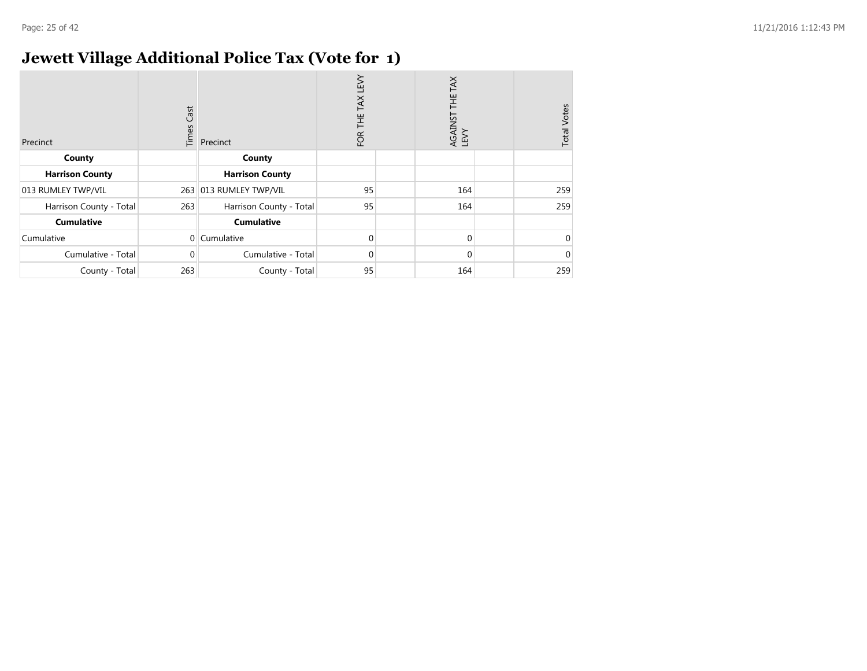### **Jewett Village Additional Police Tax (Vote for 1)**

| Precinct                | Cast<br>Times | Precinct                | <b>N3T</b><br>TAX<br>Ï<br>FOR | TAX<br>ΞH<br>AGAINST<br>LEVY | <b>Total Votes</b> |
|-------------------------|---------------|-------------------------|-------------------------------|------------------------------|--------------------|
| County                  |               | County                  |                               |                              |                    |
| <b>Harrison County</b>  |               | <b>Harrison County</b>  |                               |                              |                    |
| 013 RUMLEY TWP/VIL      | 263           | 013 RUMLEY TWP/VIL      | 95                            | 164                          | 259                |
| Harrison County - Total | 263           | Harrison County - Total | 95                            | 164                          | 259                |
| <b>Cumulative</b>       |               | <b>Cumulative</b>       |                               |                              |                    |
| Cumulative              | $\Omega$      | Cumulative              | $\Omega$                      | $\Omega$                     |                    |
| Cumulative - Total      | 0             | Cumulative - Total      | $\Omega$                      | $\Omega$                     |                    |
| County - Total          | 263           | County - Total          | 95                            | 164                          | 259                |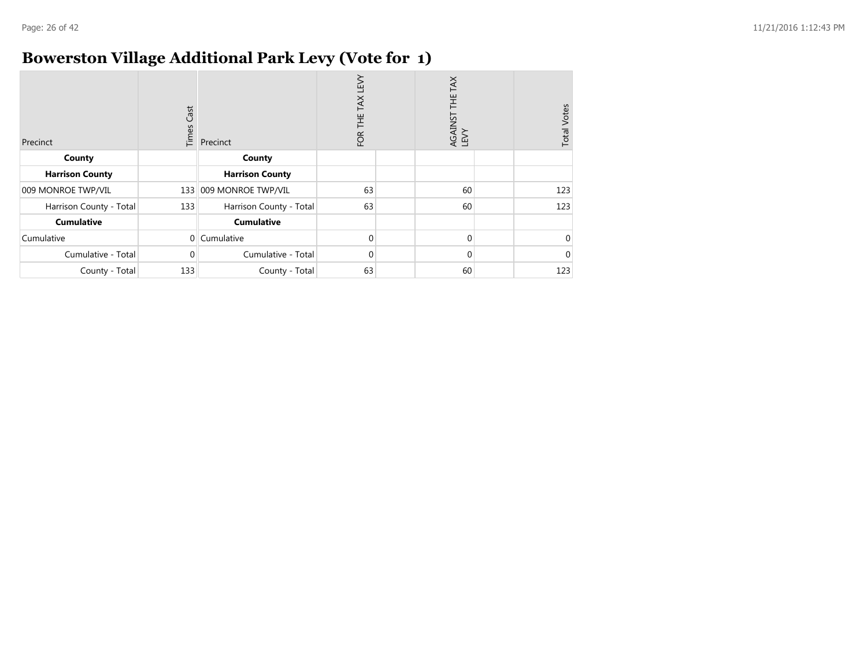### **Bowerston Village Additional Park Levy (Vote for 1)**

| Precinct                | Cast<br>Times | Precinct                | LEVY<br>TAX<br>Ï<br>FOR | THE TAX<br>AGAINST<br>LEVY | <b>Total Votes</b> |
|-------------------------|---------------|-------------------------|-------------------------|----------------------------|--------------------|
| County                  |               | County                  |                         |                            |                    |
| <b>Harrison County</b>  |               | <b>Harrison County</b>  |                         |                            |                    |
| 009 MONROE TWP/VIL      | 133           | 009 MONROE TWP/VIL      | 63                      | 60                         | 123                |
| Harrison County - Total | 133           | Harrison County - Total | 63                      | 60                         | 123                |
| <b>Cumulative</b>       |               | <b>Cumulative</b>       |                         |                            |                    |
| Cumulative              | $\Omega$      | Cumulative              | $\Omega$                | 0                          |                    |
| Cumulative - Total      | 0             | Cumulative - Total      | $\Omega$                | 0                          |                    |
| County - Total          | 133           | County - Total          | 63                      | 60                         | 123                |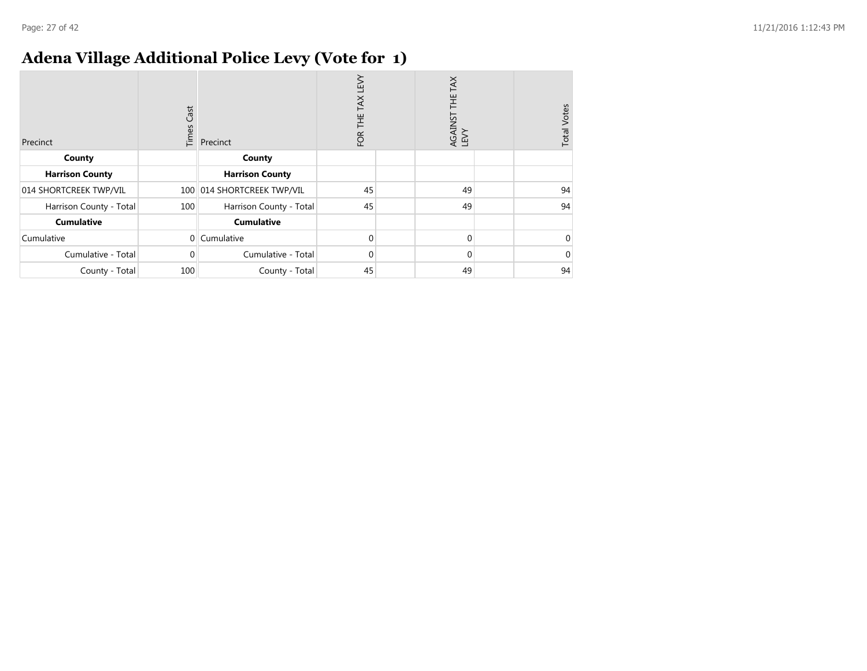### **Adena Village Additional Police Levy (Vote for 1)**

| Precinct                | Cast<br>Times | Precinct                | <b>N3T</b><br>TAX<br>芒<br>FOR | THE TAX<br>AGAINST<br>LEVY | <b>Total Votes</b> |
|-------------------------|---------------|-------------------------|-------------------------------|----------------------------|--------------------|
| County                  |               | County                  |                               |                            |                    |
| <b>Harrison County</b>  |               | <b>Harrison County</b>  |                               |                            |                    |
| 014 SHORTCREEK TWP/VIL  | 100           | 014 SHORTCREEK TWP/VIL  | 45                            | 49                         | 94                 |
| Harrison County - Total | 100           | Harrison County - Total | 45                            | 49                         | 94                 |
| <b>Cumulative</b>       |               | <b>Cumulative</b>       |                               |                            |                    |
| Cumulative              | $\Omega$      | Cumulative              | $\Omega$                      | $\Omega$                   |                    |
| Cumulative - Total      | 0             | Cumulative - Total      | $\Omega$                      | $\Omega$                   |                    |
| County - Total          | 100           | County - Total          | 45                            | 49                         | 94                 |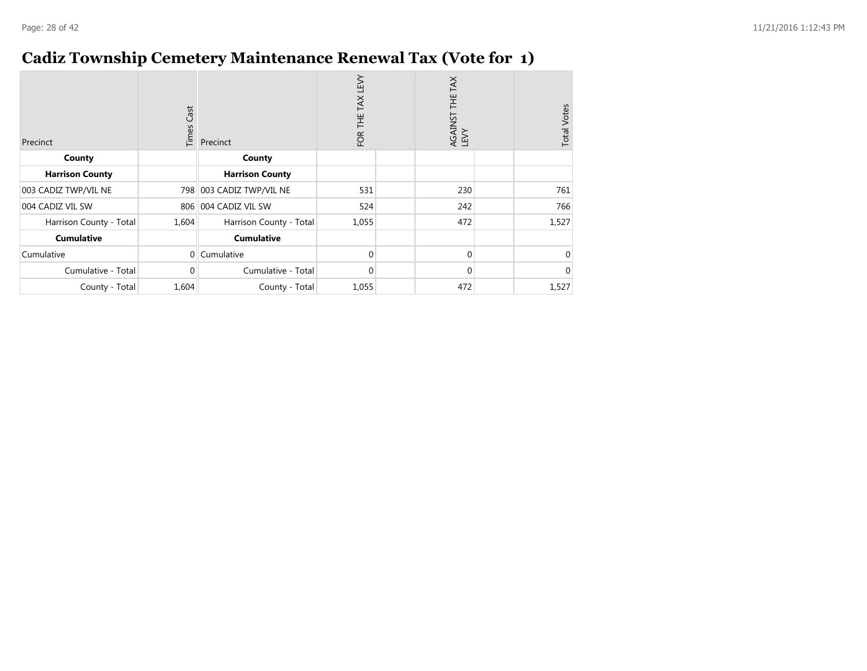### **Cadiz Township Cemetery Maintenance Renewal Tax (Vote for 1)**

| Precinct                | Cast<br>Times  | Precinct                | LEVY<br>TAX<br>FOR THE | THE TAX<br>AGAINST 1<br>LEVY | <b>Total Votes</b> |
|-------------------------|----------------|-------------------------|------------------------|------------------------------|--------------------|
| County                  |                | County                  |                        |                              |                    |
| <b>Harrison County</b>  |                | <b>Harrison County</b>  |                        |                              |                    |
| 003 CADIZ TWP/VIL NE    | 798            | 003 CADIZ TWP/VIL NE    | 531                    | 230                          | 761                |
| 004 CADIZ VIL SW        | 806            | 004 CADIZ VIL SW        | 524                    | 242                          | 766                |
| Harrison County - Total | 1,604          | Harrison County - Total | 1,055                  | 472                          | 1,527              |
| <b>Cumulative</b>       |                | <b>Cumulative</b>       |                        |                              |                    |
| Cumulative              | $\overline{0}$ | Cumulative              | 0                      | $\mathbf 0$                  |                    |
| Cumulative - Total      | 0              | Cumulative - Total      | $\Omega$               | $\mathbf 0$                  |                    |
| County - Total          | 1,604          | County - Total          | 1,055                  | 472                          | 1,527              |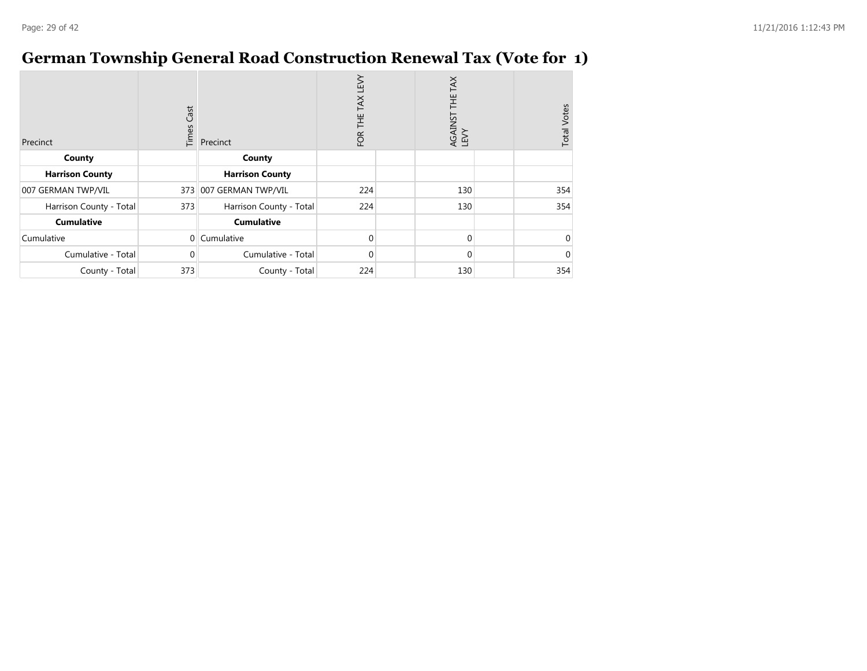### **German Township General Road Construction Renewal Tax (Vote for 1)**

| Precinct                | Cast<br>Times | Precinct                | Σ<br>ΕM<br>TAX<br>Ë<br>FOR | THE TAX<br>AGAINST<br>LEVY | <b>Total Votes</b> |
|-------------------------|---------------|-------------------------|----------------------------|----------------------------|--------------------|
| County                  |               | County                  |                            |                            |                    |
| <b>Harrison County</b>  |               | <b>Harrison County</b>  |                            |                            |                    |
| 007 GERMAN TWP/VIL      | 373           | 007 GERMAN TWP/VIL      | 224                        | 130                        | 354                |
| Harrison County - Total | 373           | Harrison County - Total | 224                        | 130                        | 354                |
| <b>Cumulative</b>       |               | <b>Cumulative</b>       |                            |                            |                    |
| Cumulative              | $\Omega$      | Cumulative              | $\Omega$                   | $\Omega$                   |                    |
| Cumulative - Total      | $\Omega$      | Cumulative - Total      | $\Omega$                   | $\Omega$                   |                    |
| County - Total          | 373           | County - Total          | 224                        | 130                        | 354                |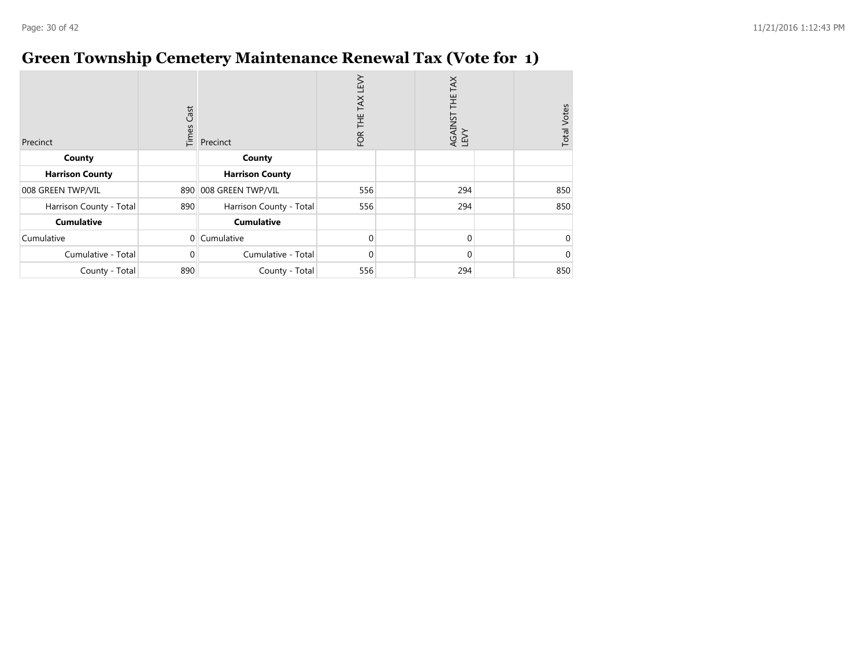### **Green Township Cemetery Maintenance Renewal Tax (Vote for 1)**

| Precinct                | Cast<br>Times | Precinct                | LEVY<br>TAX<br>Ï<br>FOR | AGAINST THE TAX<br>LEVY | <b>Total Votes</b> |
|-------------------------|---------------|-------------------------|-------------------------|-------------------------|--------------------|
| County                  |               | County                  |                         |                         |                    |
| <b>Harrison County</b>  |               | <b>Harrison County</b>  |                         |                         |                    |
| 008 GREEN TWP/VIL       | 890           | 008 GREEN TWP/VIL       | 556                     | 294                     | 850                |
| Harrison County - Total | 890           | Harrison County - Total | 556                     | 294                     | 850                |
| <b>Cumulative</b>       |               | <b>Cumulative</b>       |                         |                         |                    |
| Cumulative              | $\Omega$      | Cumulative              | $\Omega$                | $\Omega$                |                    |
| Cumulative - Total      | 0             | Cumulative - Total      | $\Omega$                | $\Omega$                |                    |
| County - Total          | 890           | County - Total          | 556                     | 294                     | 850                |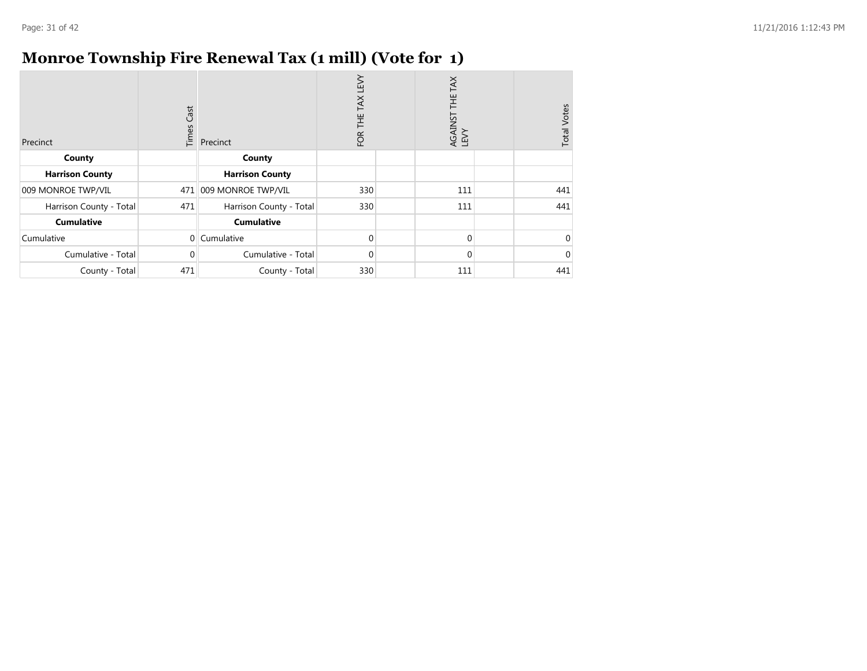### **Monroe Township Fire Renewal Tax (1 mill) (Vote for 1)**

| Precinct                | Cast<br>Times | Precinct                | TEN<br>TAX<br>Ë<br>FOR | TAX<br>…<br>王<br>AGAINST<br>LEVY | <b>Total Votes</b> |
|-------------------------|---------------|-------------------------|------------------------|----------------------------------|--------------------|
| County                  |               | County                  |                        |                                  |                    |
| <b>Harrison County</b>  |               | <b>Harrison County</b>  |                        |                                  |                    |
| 009 MONROE TWP/VIL      | 471           | 009 MONROE TWP/VIL      | 330                    | 111                              | 441                |
| Harrison County - Total | 471           | Harrison County - Total | 330                    | 111                              | 441                |
| <b>Cumulative</b>       |               | <b>Cumulative</b>       |                        |                                  |                    |
| Cumulative              | $\Omega$      | Cumulative              | $\Omega$               | $\Omega$                         |                    |
| Cumulative - Total      | 0             | Cumulative - Total      | $\Omega$               | $\Omega$                         |                    |
| County - Total          | 471           | County - Total          | 330                    | 111                              | 441                |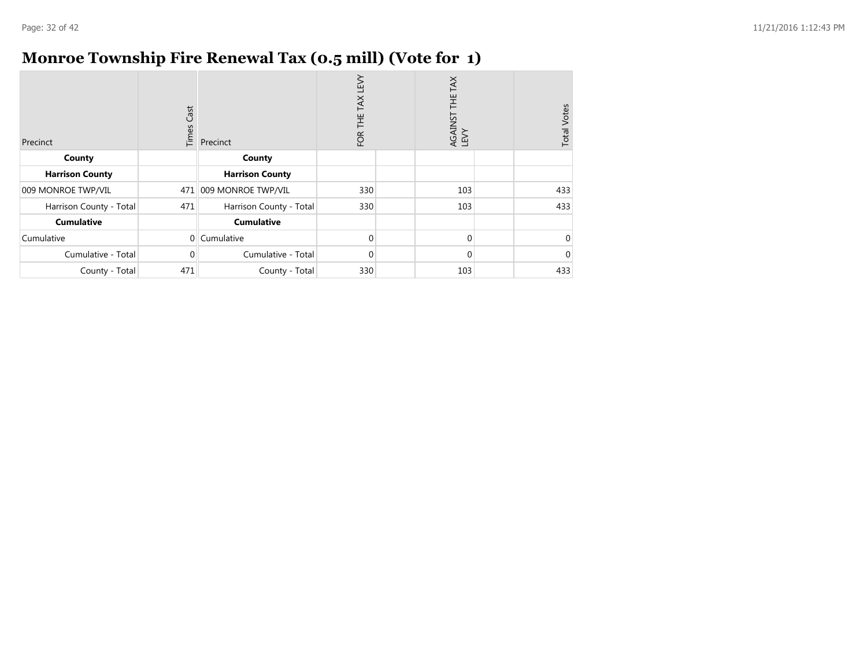### **Monroe Township Fire Renewal Tax (0.5 mill) (Vote for 1)**

| Precinct                | Cast<br>Times | Precinct                | LEVY<br>TAX<br>岂<br>FOR | THE TAX<br>AGAINST<br>LEVY | <b>Total Votes</b> |
|-------------------------|---------------|-------------------------|-------------------------|----------------------------|--------------------|
| County                  |               | County                  |                         |                            |                    |
| <b>Harrison County</b>  |               | <b>Harrison County</b>  |                         |                            |                    |
| 009 MONROE TWP/VIL      | 471           | 009 MONROE TWP/VIL      | 330                     | 103                        | 433                |
| Harrison County - Total | 471           | Harrison County - Total | 330                     | 103                        | 433                |
| <b>Cumulative</b>       |               | <b>Cumulative</b>       |                         |                            |                    |
| Cumulative              | $\Omega$      | Cumulative              | $\Omega$                | $\Omega$                   |                    |
| Cumulative - Total      | 0             | Cumulative - Total      | $\Omega$                | $\Omega$                   |                    |
| County - Total          | 471           | County - Total          | 330                     | 103                        | 433                |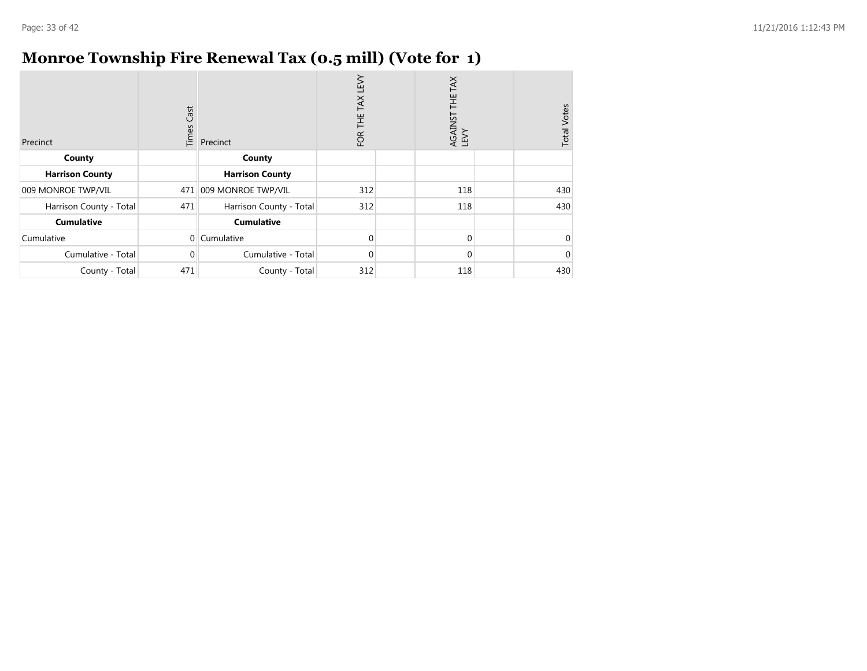### **Monroe Township Fire Renewal Tax (0.5 mill) (Vote for 1)**

| Precinct                | Cast<br>Times | Precinct                | LEVY<br>TAX<br>岂<br>FOR | THE TAX<br>AGAINST<br>LEVY | <b>Total Votes</b> |
|-------------------------|---------------|-------------------------|-------------------------|----------------------------|--------------------|
| County                  |               | County                  |                         |                            |                    |
| <b>Harrison County</b>  |               | <b>Harrison County</b>  |                         |                            |                    |
| 009 MONROE TWP/VIL      | 471           | 009 MONROE TWP/VIL      | 312                     | 118                        | 430                |
| Harrison County - Total | 471           | Harrison County - Total | 312                     | 118                        | 430                |
| <b>Cumulative</b>       |               | <b>Cumulative</b>       |                         |                            |                    |
| Cumulative              | $\Omega$      | Cumulative              | $\Omega$                | $\Omega$                   |                    |
| Cumulative - Total      | 0             | Cumulative - Total      | $\Omega$                | $\Omega$                   |                    |
| County - Total          | 471           | County - Total          | 312                     | 118                        | 430                |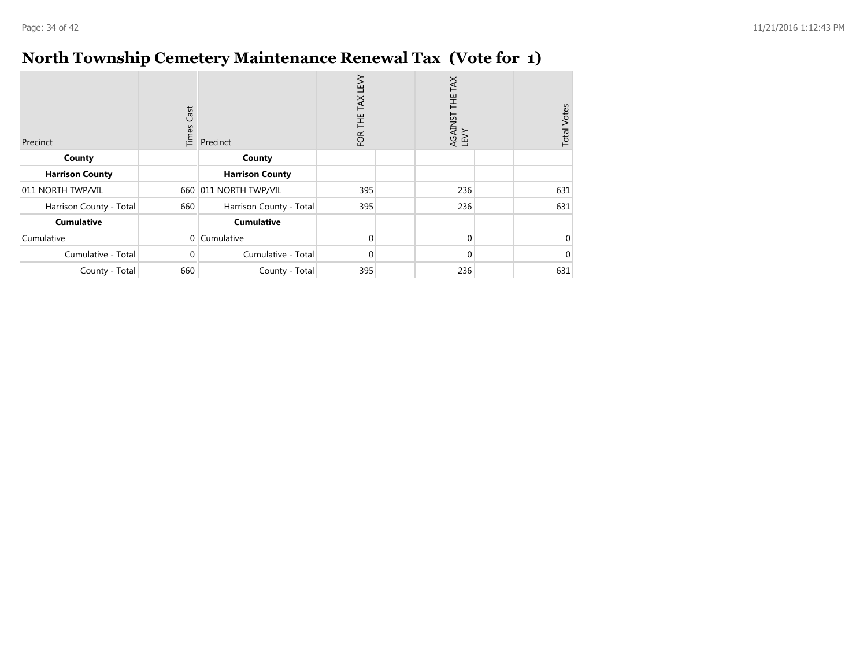### **North Township Cemetery Maintenance Renewal Tax (Vote for 1)**

| Precinct                | Cast<br>Times | Precinct                | LEVY<br>TAX<br>Ï<br>FOR | AGAINST THE TAX<br>LEVY | <b>Total Votes</b> |
|-------------------------|---------------|-------------------------|-------------------------|-------------------------|--------------------|
| County                  |               | County                  |                         |                         |                    |
| <b>Harrison County</b>  |               | <b>Harrison County</b>  |                         |                         |                    |
| 011 NORTH TWP/VIL       | 660           | 011 NORTH TWP/VIL       | 395                     | 236                     | 631                |
| Harrison County - Total | 660           | Harrison County - Total | 395                     | 236                     | 631                |
| <b>Cumulative</b>       |               | <b>Cumulative</b>       |                         |                         |                    |
| Cumulative              | $\Omega$      | Cumulative              | $\Omega$                | $\Omega$                |                    |
| Cumulative - Total      | 0             | Cumulative - Total      | $\Omega$                | $\Omega$                |                    |
| County - Total          | 660           | County - Total          | 395                     | 236                     | 631                |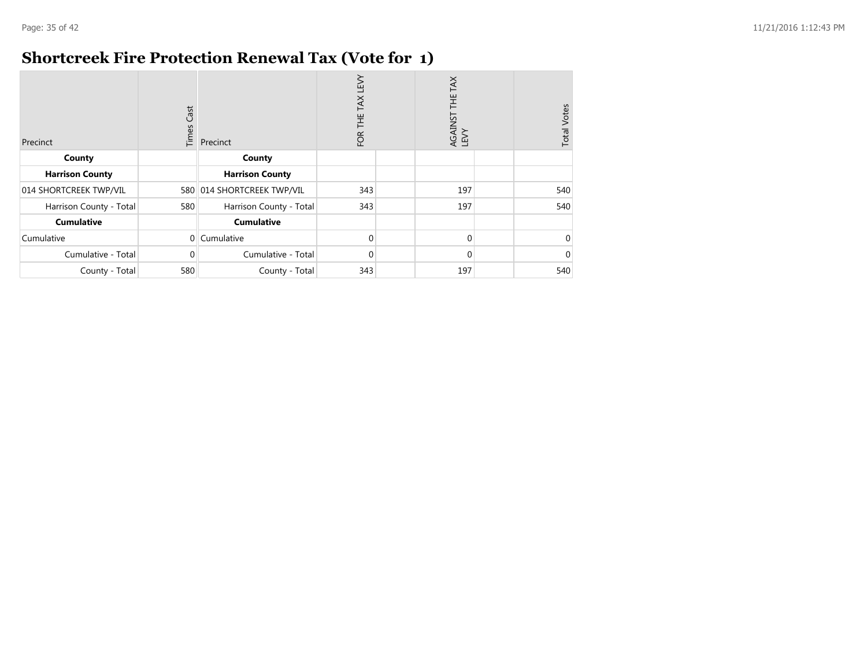### **Shortcreek Fire Protection Renewal Tax (Vote for 1)**

| Precinct                | Cast<br>Times  | Precinct                | LEVY<br>TAX<br>Ë<br>FOR | TAX<br>THE<br>T<br>AGAINST<br>LEVY | <b>Total Votes</b> |
|-------------------------|----------------|-------------------------|-------------------------|------------------------------------|--------------------|
| County                  |                | County                  |                         |                                    |                    |
| <b>Harrison County</b>  |                | <b>Harrison County</b>  |                         |                                    |                    |
| 014 SHORTCREEK TWP/VIL  | 580            | 014 SHORTCREEK TWP/VIL  | 343                     | 197                                | 540                |
| Harrison County - Total | 580            | Harrison County - Total | 343                     | 197                                | 540                |
| <b>Cumulative</b>       |                | <b>Cumulative</b>       |                         |                                    |                    |
| Cumulative              | $\overline{0}$ | Cumulative              | $\Omega$                | $\Omega$                           |                    |
| Cumulative - Total      | $\Omega$       | Cumulative - Total      | $\Omega$                | $\Omega$                           |                    |
| County - Total          | 580            | County - Total          | 343                     | 197                                | 540                |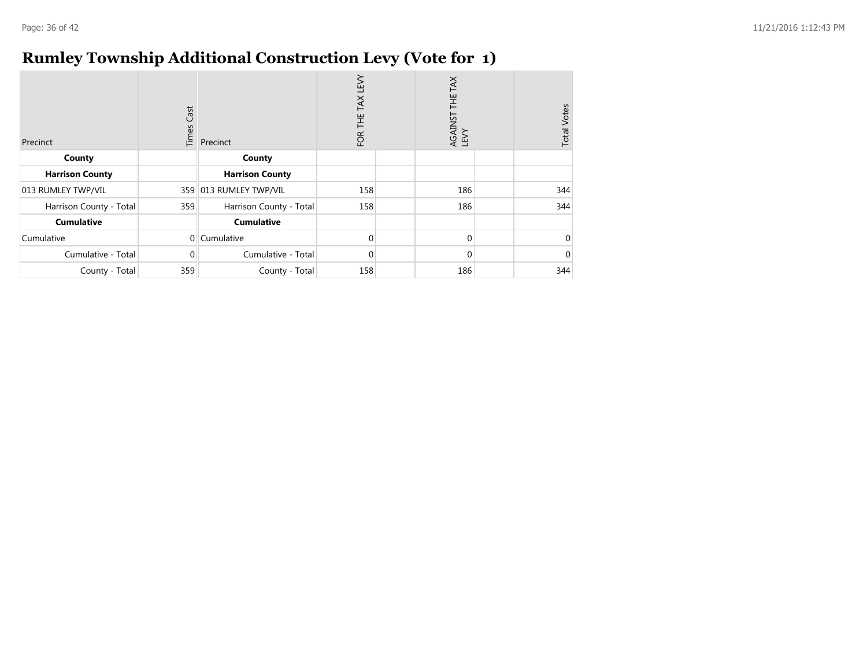### **Rumley Township Additional Construction Levy (Vote for 1)**

| Precinct                | Cast<br>Times | Precinct                | <b>N3T</b><br>TAX<br>Ï<br>FOR | TAX<br>HE<br>AGAINST<br>LEVY | <b>Total Votes</b> |
|-------------------------|---------------|-------------------------|-------------------------------|------------------------------|--------------------|
| County                  |               | County                  |                               |                              |                    |
| <b>Harrison County</b>  |               | <b>Harrison County</b>  |                               |                              |                    |
| 013 RUMLEY TWP/VIL      | 359           | 013 RUMLEY TWP/VIL      | 158                           | 186                          | 344                |
| Harrison County - Total | 359           | Harrison County - Total | 158                           | 186                          | 344                |
| <b>Cumulative</b>       |               | <b>Cumulative</b>       |                               |                              |                    |
| Cumulative              | $\Omega$      | Cumulative              | $\Omega$                      | 0                            |                    |
| Cumulative - Total      | 0             | Cumulative - Total      | $\Omega$                      | 0                            |                    |
| County - Total          | 359           | County - Total          | 158                           | 186                          | 344                |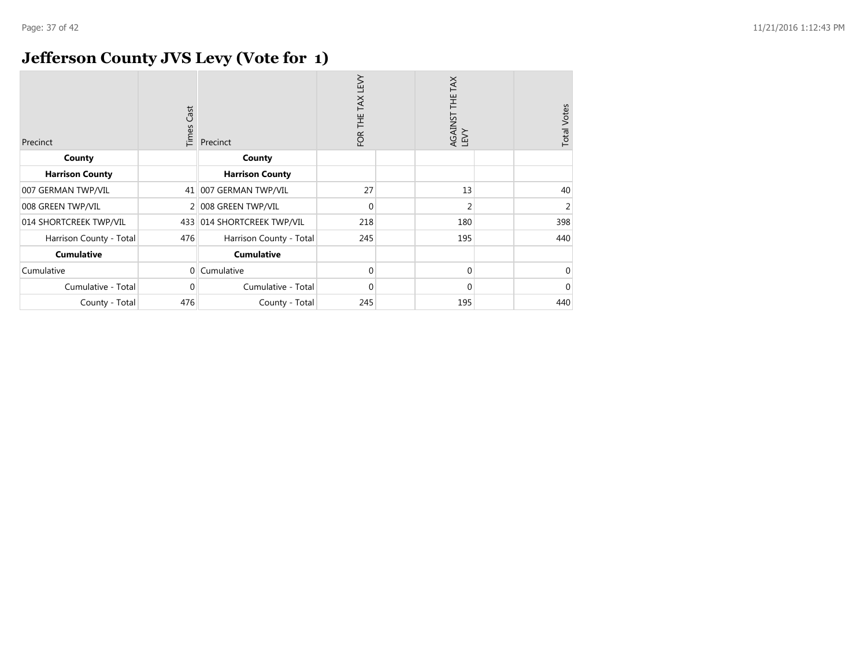### **Jefferson County JVS Levy (Vote for 1)**

| Precinct                | Cast<br>Times  | Precinct                | TEV<br><b>TAX</b><br>FOR THE | AGAINST THE TAX<br>LEVY | <b>Total Votes</b> |
|-------------------------|----------------|-------------------------|------------------------------|-------------------------|--------------------|
| County                  |                | County                  |                              |                         |                    |
| <b>Harrison County</b>  |                | <b>Harrison County</b>  |                              |                         |                    |
| 007 GERMAN TWP/VIL      | 41             | 007 GERMAN TWP/VIL      | 27                           | 13                      | 40                 |
| 008 GREEN TWP/VIL       | $\overline{2}$ | 008 GREEN TWP/VIL       | 0                            | 2                       | 2                  |
| 014 SHORTCREEK TWP/VIL  | 433            | 014 SHORTCREEK TWP/VIL  | 218                          | 180                     | 398                |
| Harrison County - Total | 476            | Harrison County - Total | 245                          | 195                     | 440                |
| <b>Cumulative</b>       |                | <b>Cumulative</b>       |                              |                         |                    |
| Cumulative              | $\overline{0}$ | Cumulative              | 0                            | $\mathbf 0$             | 0                  |
| Cumulative - Total      | 0              | Cumulative - Total      | 0                            | $\mathbf 0$             |                    |
| County - Total          | 476            | County - Total          | 245                          | 195                     | 440                |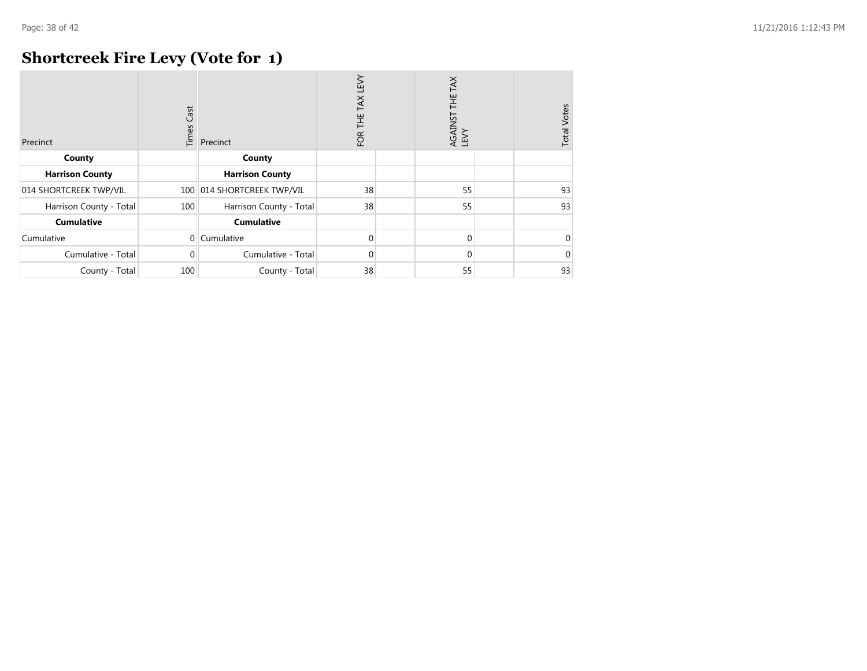### **Shortcreek Fire Levy (Vote for 1)**

| Precinct                | Cast<br>Times | Precinct                | <b>N3T</b><br>TAX<br>Ϊ<br>FOR | THE TAX<br>AGAINST<br>LEVY | <b>Total Votes</b> |
|-------------------------|---------------|-------------------------|-------------------------------|----------------------------|--------------------|
| County                  |               | County                  |                               |                            |                    |
| <b>Harrison County</b>  |               | <b>Harrison County</b>  |                               |                            |                    |
| 014 SHORTCREEK TWP/VIL  | 100           | 014 SHORTCREEK TWP/VIL  | 38                            | 55                         | 93                 |
| Harrison County - Total | 100           | Harrison County - Total | 38                            | 55                         | 93                 |
| <b>Cumulative</b>       |               | <b>Cumulative</b>       |                               |                            |                    |
| Cumulative              | $\Omega$      | Cumulative              | $\Omega$                      | $\Omega$                   | 0                  |
| Cumulative - Total      | 0             | Cumulative - Total      | $\Omega$                      | $\Omega$                   | 0                  |
| County - Total          | 100           | County - Total          | 38                            | 55                         | 93                 |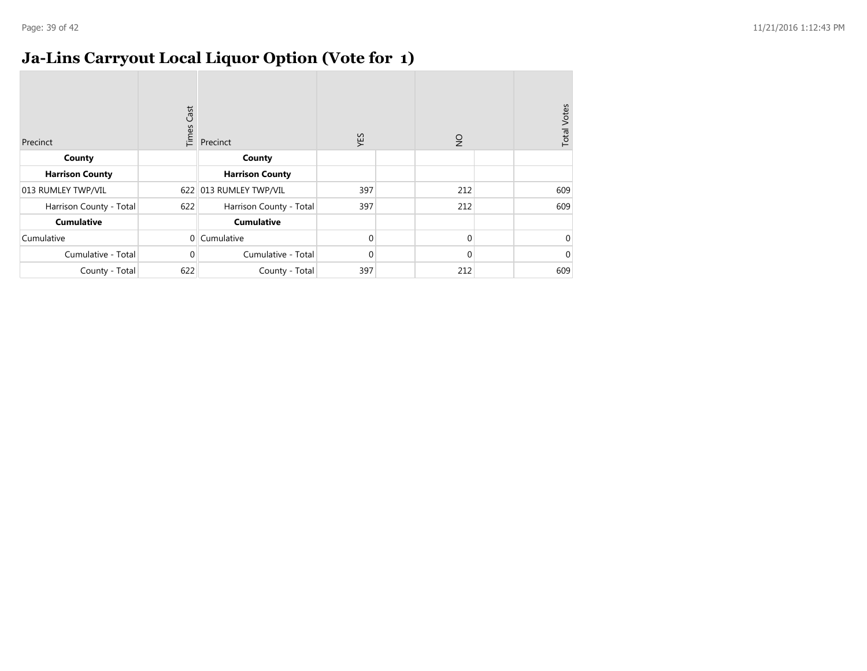### **Ja-Lins Carryout Local Liquor Option (Vote for 1)**

| Precinct                | Cast<br>Times  | Precinct                | XES      | $\frac{1}{2}$ | <b>Total Votes</b> |
|-------------------------|----------------|-------------------------|----------|---------------|--------------------|
| County                  |                | County                  |          |               |                    |
| <b>Harrison County</b>  |                | <b>Harrison County</b>  |          |               |                    |
| 013 RUMLEY TWP/VIL      |                | 622 013 RUMLEY TWP/VIL  | 397      | 212           | 609                |
| Harrison County - Total | 622            | Harrison County - Total | 397      | 212           | 609                |
| <b>Cumulative</b>       |                | <b>Cumulative</b>       |          |               |                    |
| Cumulative              | $\overline{0}$ | Cumulative              | $\Omega$ | $\mathbf 0$   | $\Omega$           |
| Cumulative - Total      | $\Omega$       | Cumulative - Total      | $\Omega$ | $\Omega$      | $\Omega$           |
| County - Total          | 622            | County - Total          | 397      | 212           | 609                |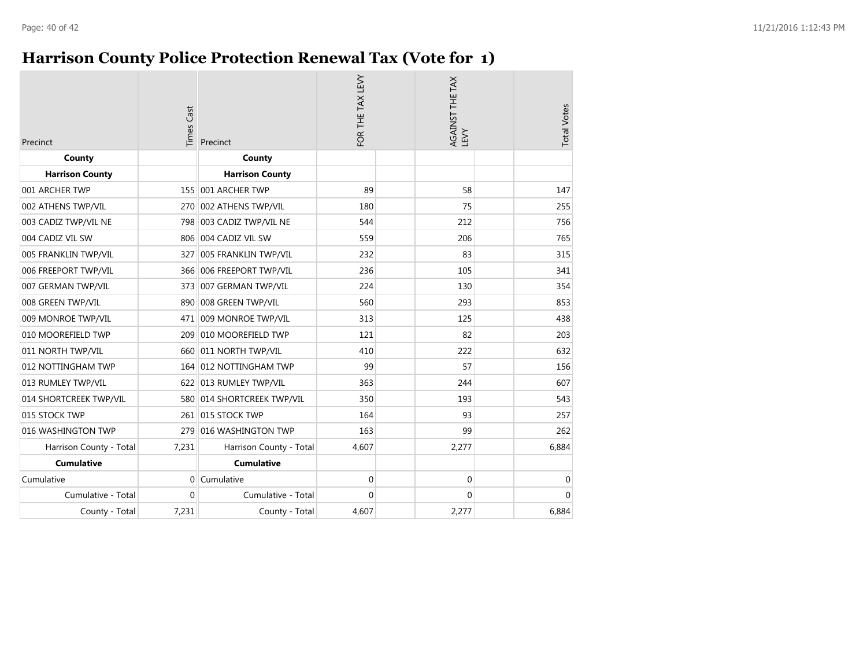### **Harrison County Police Protection Renewal Tax (Vote for 1)**

| Precinct                | <b>Times Cast</b> | Precinct                 | FOR THE TAX LEVY | AGAINST THE TAX<br>LEVY |             | <b>Total Votes</b> |
|-------------------------|-------------------|--------------------------|------------------|-------------------------|-------------|--------------------|
| County                  |                   | County                   |                  |                         |             |                    |
| <b>Harrison County</b>  |                   | <b>Harrison County</b>   |                  |                         |             |                    |
| 001 ARCHER TWP          |                   | 155 001 ARCHER TWP       | 89               | 58                      |             | 147                |
| 002 ATHENS TWP/VIL      | 270               | 002 ATHENS TWP/VIL       | 180              | 75                      |             | 255                |
| 003 CADIZ TWP/VIL NE    |                   | 798 003 CADIZ TWP/VIL NE | 544              | 212                     |             | 756                |
| 004 CADIZ VIL SW        |                   | 806 004 CADIZ VIL SW     | 559              | 206                     |             | 765                |
| 005 FRANKLIN TWP/VIL    | 327               | 005 FRANKLIN TWP/VIL     | 232              | 83                      |             | 315                |
| 006 FREEPORT TWP/VIL    |                   | 366 006 FREEPORT TWP/VIL | 236              | 105                     |             | 341                |
| 007 GERMAN TWP/VIL      |                   | 373 007 GERMAN TWP/VIL   | 224              | 130                     |             | 354                |
| 008 GREEN TWP/VIL       | 890               | 008 GREEN TWP/VIL        | 560              | 293                     |             | 853                |
| 009 MONROE TWP/VIL      |                   | 471 009 MONROE TWP/VIL   | 313              | 125                     |             | 438                |
| 010 MOOREFIELD TWP      | 209               | 010 MOOREFIELD TWP       | 121              | 82                      |             | 203                |
| 011 NORTH TWP/VIL       | 660               | 011 NORTH TWP/VIL        | 410              | 222                     |             | 632                |
| 012 NOTTINGHAM TWP      |                   | 164 012 NOTTINGHAM TWP   | 99               | 57                      |             | 156                |
| 013 RUMLEY TWP/VIL      |                   | 622 013 RUMLEY TWP/VIL   | 363              | 244                     |             | 607                |
| 014 SHORTCREEK TWP/VIL  | 580               | 014 SHORTCREEK TWP/VIL   | 350              | 193                     |             | 543                |
| 015 STOCK TWP           |                   | 261 015 STOCK TWP        | 164              | 93                      |             | 257                |
| 016 WASHINGTON TWP      | 279               | 016 WASHINGTON TWP       | 163              | 99                      |             | 262                |
| Harrison County - Total | 7,231             | Harrison County - Total  | 4,607            | 2,277                   |             | 6,884              |
| <b>Cumulative</b>       |                   | <b>Cumulative</b>        |                  |                         |             |                    |
| Cumulative              | $\Omega$          | Cumulative               | $\mathbf 0$      |                         | $\mathbf 0$ | $\mathbf 0$        |
| Cumulative - Total      | $\Omega$          | Cumulative - Total       | $\Omega$         |                         | $\Omega$    | $\Omega$           |
| County - Total          | 7,231             | County - Total           | 4,607            | 2,277                   |             | 6,884              |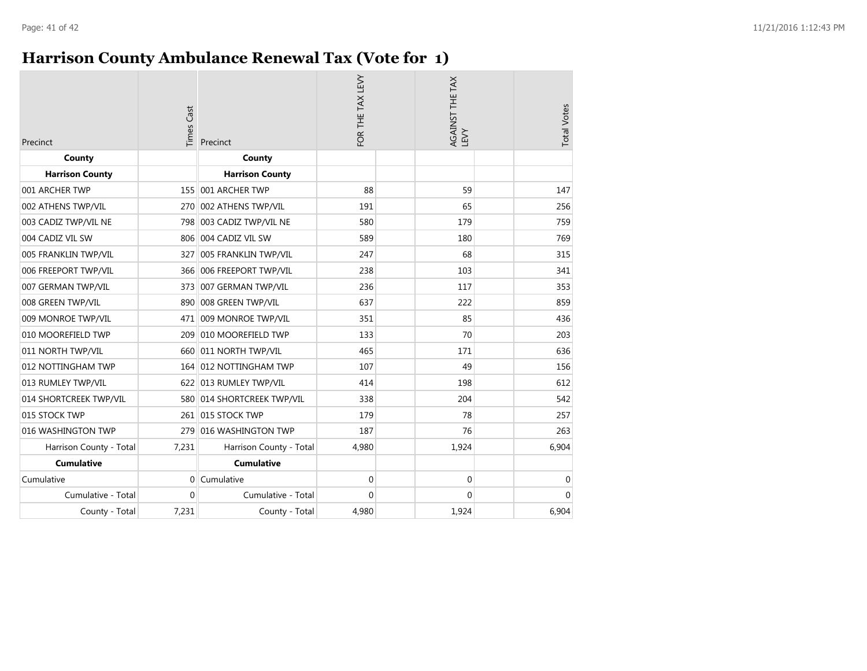### **Harrison County Ambulance Renewal Tax (Vote for 1)**

| Precinct                | <b>Times Cast</b> | Precinct                   | FOR THE TAX LEVY | AGAINST THE TAX<br>LEVY | <b>Total Votes</b> |
|-------------------------|-------------------|----------------------------|------------------|-------------------------|--------------------|
| County                  |                   | County                     |                  |                         |                    |
| <b>Harrison County</b>  |                   | <b>Harrison County</b>     |                  |                         |                    |
| 001 ARCHER TWP          |                   | 155 001 ARCHER TWP         | 88               | 59                      | 147                |
| 002 ATHENS TWP/VIL      | 270               | 002 ATHENS TWP/VIL         | 191              | 65                      | 256                |
| 003 CADIZ TWP/VIL NE    |                   | 798 003 CADIZ TWP/VIL NE   | 580              | 179                     | 759                |
| 004 CADIZ VIL SW        |                   | 806 004 CADIZ VIL SW       | 589              | 180                     | 769                |
| 005 FRANKLIN TWP/VIL    | 327               | 005 FRANKLIN TWP/VIL       | 247              | 68                      | 315                |
| 006 FREEPORT TWP/VIL    |                   | 366 006 FREEPORT TWP/VIL   | 238              | 103                     | 341                |
| 007 GERMAN TWP/VIL      | 373               | 007 GERMAN TWP/VIL         | 236              | 117                     | 353                |
| 008 GREEN TWP/VIL       | 890               | 008 GREEN TWP/VIL          | 637              | 222                     | 859                |
| 009 MONROE TWP/VIL      | 471               | 009 MONROE TWP/VIL         | 351              | 85                      | 436                |
| 010 MOOREFIELD TWP      | 209               | 010 MOOREFIELD TWP         | 133              | 70                      | 203                |
| 011 NORTH TWP/VIL       | 660               | 011 NORTH TWP/VIL          | 465              | 171                     | 636                |
| 012 NOTTINGHAM TWP      | 164               | 012 NOTTINGHAM TWP         | 107              | 49                      | 156                |
| 013 RUMLEY TWP/VIL      | 622               | 013 RUMLEY TWP/VIL         | 414              | 198                     | 612                |
| 014 SHORTCREEK TWP/VIL  |                   | 580 014 SHORTCREEK TWP/VIL | 338              | 204                     | 542                |
| 015 STOCK TWP           | 261               | 015 STOCK TWP              | 179              | 78                      | 257                |
| 016 WASHINGTON TWP      | 279               | 016 WASHINGTON TWP         | 187              | 76                      | 263                |
| Harrison County - Total | 7,231             | Harrison County - Total    | 4,980            | 1,924                   | 6,904              |
| <b>Cumulative</b>       |                   | <b>Cumulative</b>          |                  |                         |                    |
| Cumulative              | $\Omega$          | Cumulative                 | $\mathbf 0$      | $\mathbf 0$             | 0                  |
| Cumulative - Total      | $\Omega$          | Cumulative - Total         | 0                | $\Omega$                | $\Omega$           |
| County - Total          | 7,231             | County - Total             | 4,980            | 1,924                   | 6,904              |